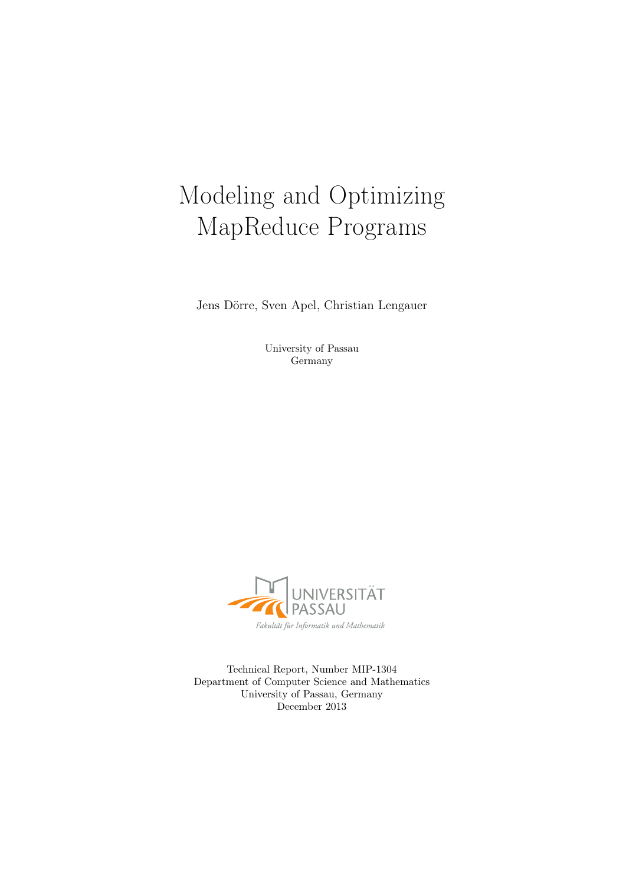# Modeling and Optimizing MapReduce Programs

Jens Dörre, Sven Apel, Christian Lengauer

University of Passau Germany



Technical Report, Number MIP-1304 Department of Computer Science and Mathematics University of Passau, Germany December 2013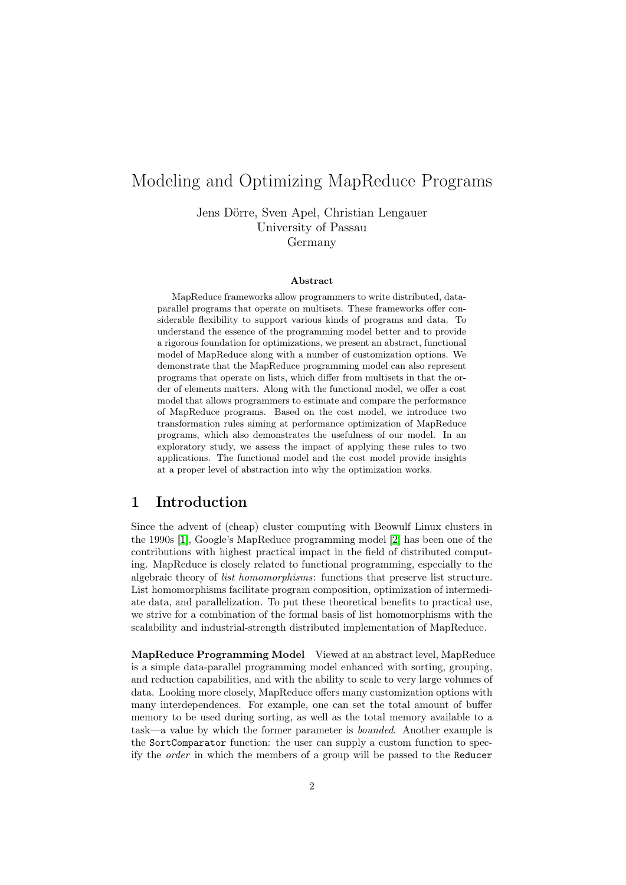# <span id="page-1-0"></span>Modeling and Optimizing MapReduce Programs

Jens Dörre, Sven Apel, Christian Lengauer University of Passau Germany

#### Abstract

MapReduce frameworks allow programmers to write distributed, dataparallel programs that operate on multisets. These frameworks offer considerable flexibility to support various kinds of programs and data. To understand the essence of the programming model better and to provide a rigorous foundation for optimizations, we present an abstract, functional model of MapReduce along with a number of customization options. We demonstrate that the MapReduce programming model can also represent programs that operate on lists, which differ from multisets in that the order of elements matters. Along with the functional model, we offer a cost model that allows programmers to estimate and compare the performance of MapReduce programs. Based on the cost model, we introduce two transformation rules aiming at performance optimization of MapReduce programs, which also demonstrates the usefulness of our model. In an exploratory study, we assess the impact of applying these rules to two applications. The functional model and the cost model provide insights at a proper level of abstraction into why the optimization works.

# 1 Introduction

Since the advent of (cheap) cluster computing with Beowulf Linux clusters in the 1990s [\[1\]](#page-36-0), Google's MapReduce programming model [\[2\]](#page-36-1) has been one of the contributions with highest practical impact in the field of distributed computing. MapReduce is closely related to functional programming, especially to the algebraic theory of list homomorphisms: functions that preserve list structure. List homomorphisms facilitate program composition, optimization of intermediate data, and parallelization. To put these theoretical benefits to practical use, we strive for a combination of the formal basis of list homomorphisms with the scalability and industrial-strength distributed implementation of MapReduce.

MapReduce Programming Model Viewed at an abstract level, MapReduce is a simple data-parallel programming model enhanced with sorting, grouping, and reduction capabilities, and with the ability to scale to very large volumes of data. Looking more closely, MapReduce offers many customization options with many interdependences. For example, one can set the total amount of buffer memory to be used during sorting, as well as the total memory available to a task—a value by which the former parameter is bounded. Another example is the SortComparator function: the user can supply a custom function to specify the order in which the members of a group will be passed to the Reducer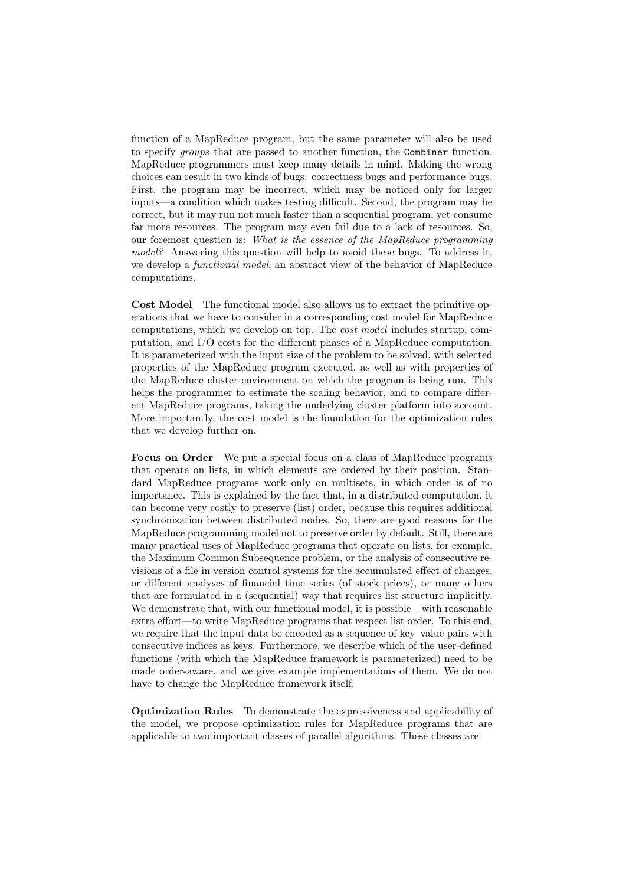function of a MapReduce program, but the same parameter will also be used to specify groups that are passed to another function, the Combiner function. MapReduce programmers must keep many details in mind. Making the wrong choices can result in two kinds of bugs: correctness bugs and performance bugs. First, the program may be incorrect, which may be noticed only for larger inputs—a condition which makes testing difficult. Second, the program may be correct, but it may run not much faster than a sequential program, yet consume far more resources. The program may even fail due to a lack of resources. So, our foremost question is: What is the essence of the MapReduce programming model? Answering this question will help to avoid these bugs. To address it, we develop a *functional model*, an abstract view of the behavior of MapReduce computations.

Cost Model The functional model also allows us to extract the primitive operations that we have to consider in a corresponding cost model for MapReduce computations, which we develop on top. The cost model includes startup, computation, and I/O costs for the different phases of a MapReduce computation. It is parameterized with the input size of the problem to be solved, with selected properties of the MapReduce program executed, as well as with properties of the MapReduce cluster environment on which the program is being run. This helps the programmer to estimate the scaling behavior, and to compare different MapReduce programs, taking the underlying cluster platform into account. More importantly, the cost model is the foundation for the optimization rules that we develop further on.

Focus on Order We put a special focus on a class of MapReduce programs that operate on lists, in which elements are ordered by their position. Standard MapReduce programs work only on multisets, in which order is of no importance. This is explained by the fact that, in a distributed computation, it can become very costly to preserve (list) order, because this requires additional synchronization between distributed nodes. So, there are good reasons for the MapReduce programming model not to preserve order by default. Still, there are many practical uses of MapReduce programs that operate on lists, for example, the Maximum Common Subsequence problem, or the analysis of consecutive revisions of a file in version control systems for the accumulated effect of changes, or different analyses of financial time series (of stock prices), or many others that are formulated in a (sequential) way that requires list structure implicitly. We demonstrate that, with our functional model, it is possible—with reasonable extra effort—to write MapReduce programs that respect list order. To this end, we require that the input data be encoded as a sequence of key–value pairs with consecutive indices as keys. Furthermore, we describe which of the user-defined functions (with which the MapReduce framework is parameterized) need to be made order-aware, and we give example implementations of them. We do not have to change the MapReduce framework itself.

Optimization Rules To demonstrate the expressiveness and applicability of the model, we propose optimization rules for MapReduce programs that are applicable to two important classes of parallel algorithms. These classes are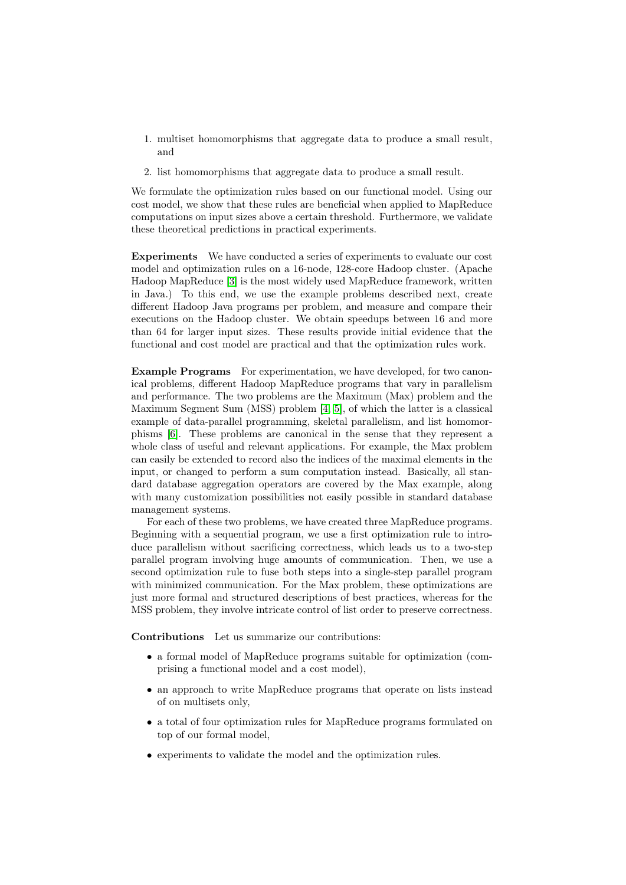- <span id="page-3-0"></span>1. multiset homomorphisms that aggregate data to produce a small result, and
- 2. list homomorphisms that aggregate data to produce a small result.

We formulate the optimization rules based on our functional model. Using our cost model, we show that these rules are beneficial when applied to MapReduce computations on input sizes above a certain threshold. Furthermore, we validate these theoretical predictions in practical experiments.

Experiments We have conducted a series of experiments to evaluate our cost model and optimization rules on a 16-node, 128-core Hadoop cluster. (Apache Hadoop MapReduce [\[3\]](#page-37-0) is the most widely used MapReduce framework, written in Java.) To this end, we use the example problems described next, create different Hadoop Java programs per problem, and measure and compare their executions on the Hadoop cluster. We obtain speedups between 16 and more than 64 for larger input sizes. These results provide initial evidence that the functional and cost model are practical and that the optimization rules work.

**Example Programs** For experimentation, we have developed, for two canonical problems, different Hadoop MapReduce programs that vary in parallelism and performance. The two problems are the Maximum (Max) problem and the Maximum Segment Sum (MSS) problem [\[4,](#page-37-1) [5\]](#page-37-2), of which the latter is a classical example of data-parallel programming, skeletal parallelism, and list homomorphisms [\[6\]](#page-37-3). These problems are canonical in the sense that they represent a whole class of useful and relevant applications. For example, the Max problem can easily be extended to record also the indices of the maximal elements in the input, or changed to perform a sum computation instead. Basically, all standard database aggregation operators are covered by the Max example, along with many customization possibilities not easily possible in standard database management systems.

For each of these two problems, we have created three MapReduce programs. Beginning with a sequential program, we use a first optimization rule to introduce parallelism without sacrificing correctness, which leads us to a two-step parallel program involving huge amounts of communication. Then, we use a second optimization rule to fuse both steps into a single-step parallel program with minimized communication. For the Max problem, these optimizations are just more formal and structured descriptions of best practices, whereas for the MSS problem, they involve intricate control of list order to preserve correctness.

Contributions Let us summarize our contributions:

- a formal model of MapReduce programs suitable for optimization (comprising a functional model and a cost model),
- an approach to write MapReduce programs that operate on lists instead of on multisets only,
- a total of four optimization rules for MapReduce programs formulated on top of our formal model,
- experiments to validate the model and the optimization rules.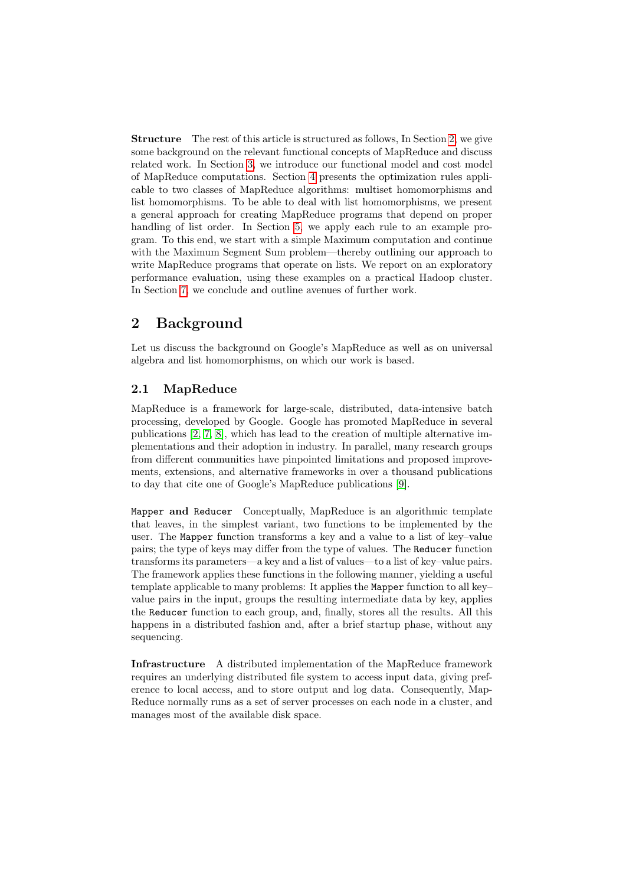<span id="page-4-1"></span>Structure The rest of this article is structured as follows, In Section [2,](#page-4-0) we give some background on the relevant functional concepts of MapReduce and discuss related work. In Section [3,](#page-9-0) we introduce our functional model and cost model of MapReduce computations. Section [4](#page-18-0) presents the optimization rules applicable to two classes of MapReduce algorithms: multiset homomorphisms and list homomorphisms. To be able to deal with list homomorphisms, we present a general approach for creating MapReduce programs that depend on proper handling of list order. In Section [5,](#page-28-0) we apply each rule to an example program. To this end, we start with a simple Maximum computation and continue with the Maximum Segment Sum problem—thereby outlining our approach to write MapReduce programs that operate on lists. We report on an exploratory performance evaluation, using these examples on a practical Hadoop cluster. In Section [7,](#page-36-2) we conclude and outline avenues of further work.

# <span id="page-4-0"></span>2 Background

Let us discuss the background on Google's MapReduce as well as on universal algebra and list homomorphisms, on which our work is based.

# <span id="page-4-2"></span>2.1 MapReduce

MapReduce is a framework for large-scale, distributed, data-intensive batch processing, developed by Google. Google has promoted MapReduce in several publications [\[2,](#page-36-1) [7,](#page-37-4) [8\]](#page-37-5), which has lead to the creation of multiple alternative implementations and their adoption in industry. In parallel, many research groups from different communities have pinpointed limitations and proposed improvements, extensions, and alternative frameworks in over a thousand publications to day that cite one of Google's MapReduce publications [\[9\]](#page-37-6).

Mapper and Reducer Conceptually, MapReduce is an algorithmic template that leaves, in the simplest variant, two functions to be implemented by the user. The Mapper function transforms a key and a value to a list of key–value pairs; the type of keys may differ from the type of values. The Reducer function transforms its parameters—a key and a list of values—to a list of key–value pairs. The framework applies these functions in the following manner, yielding a useful template applicable to many problems: It applies the Mapper function to all key– value pairs in the input, groups the resulting intermediate data by key, applies the Reducer function to each group, and, finally, stores all the results. All this happens in a distributed fashion and, after a brief startup phase, without any sequencing.

Infrastructure A distributed implementation of the MapReduce framework requires an underlying distributed file system to access input data, giving preference to local access, and to store output and log data. Consequently, Map-Reduce normally runs as a set of server processes on each node in a cluster, and manages most of the available disk space.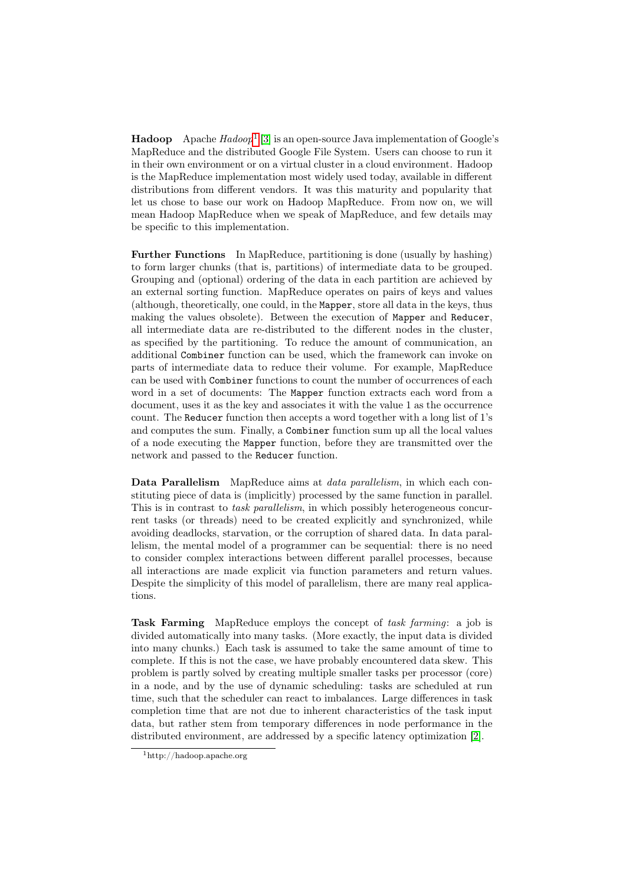<span id="page-5-1"></span>**Hadoop** Apache  $Hadoop<sup>1</sup>[3]$  $Hadoop<sup>1</sup>[3]$  $Hadoop<sup>1</sup>[3]$  $Hadoop<sup>1</sup>[3]$  is an open-source Java implementation of Google's MapReduce and the distributed Google File System. Users can choose to run it in their own environment or on a virtual cluster in a cloud environment. Hadoop is the MapReduce implementation most widely used today, available in different distributions from different vendors. It was this maturity and popularity that let us chose to base our work on Hadoop MapReduce. From now on, we will mean Hadoop MapReduce when we speak of MapReduce, and few details may be specific to this implementation.

Further Functions In MapReduce, partitioning is done (usually by hashing) to form larger chunks (that is, partitions) of intermediate data to be grouped. Grouping and (optional) ordering of the data in each partition are achieved by an external sorting function. MapReduce operates on pairs of keys and values (although, theoretically, one could, in the Mapper, store all data in the keys, thus making the values obsolete). Between the execution of Mapper and Reducer, all intermediate data are re-distributed to the different nodes in the cluster, as specified by the partitioning. To reduce the amount of communication, an additional Combiner function can be used, which the framework can invoke on parts of intermediate data to reduce their volume. For example, MapReduce can be used with Combiner functions to count the number of occurrences of each word in a set of documents: The Mapper function extracts each word from a document, uses it as the key and associates it with the value 1 as the occurrence count. The Reducer function then accepts a word together with a long list of 1's and computes the sum. Finally, a Combiner function sum up all the local values of a node executing the Mapper function, before they are transmitted over the network and passed to the Reducer function.

Data Parallelism MapReduce aims at *data parallelism*, in which each constituting piece of data is (implicitly) processed by the same function in parallel. This is in contrast to task parallelism, in which possibly heterogeneous concurrent tasks (or threads) need to be created explicitly and synchronized, while avoiding deadlocks, starvation, or the corruption of shared data. In data parallelism, the mental model of a programmer can be sequential: there is no need to consider complex interactions between different parallel processes, because all interactions are made explicit via function parameters and return values. Despite the simplicity of this model of parallelism, there are many real applications.

Task Farming MapReduce employs the concept of task farming: a job is divided automatically into many tasks. (More exactly, the input data is divided into many chunks.) Each task is assumed to take the same amount of time to complete. If this is not the case, we have probably encountered data skew. This problem is partly solved by creating multiple smaller tasks per processor (core) in a node, and by the use of dynamic scheduling: tasks are scheduled at run time, such that the scheduler can react to imbalances. Large differences in task completion time that are not due to inherent characteristics of the task input data, but rather stem from temporary differences in node performance in the distributed environment, are addressed by a specific latency optimization [\[2\]](#page-36-1).

<span id="page-5-0"></span><sup>1</sup>http://hadoop.apache.org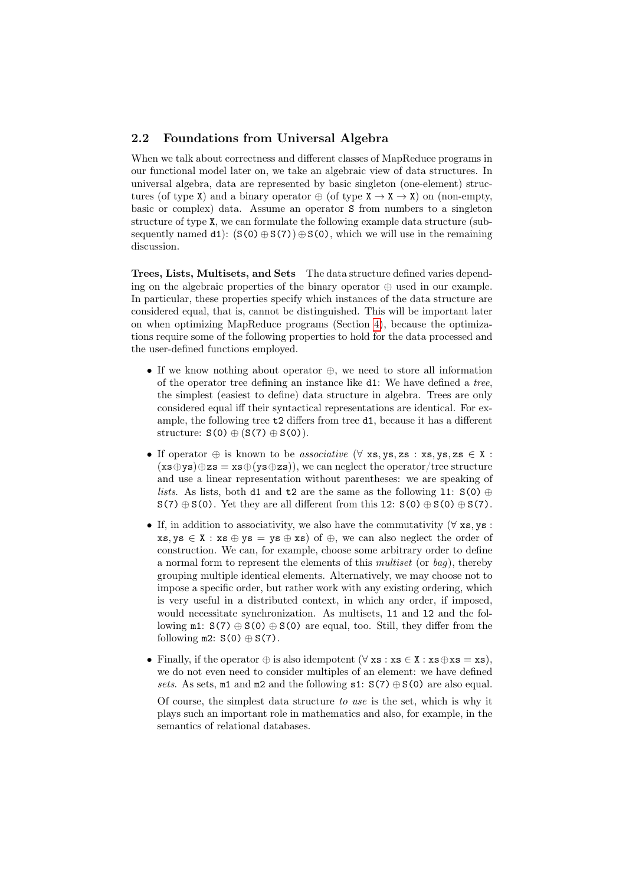# 2.2 Foundations from Universal Algebra

When we talk about correctness and different classes of MapReduce programs in our functional model later on, we take an algebraic view of data structures. In universal algebra, data are represented by basic singleton (one-element) structures (of type X) and a binary operator  $\oplus$  (of type  $X \to X \to X$ ) on (non-empty, basic or complex) data. Assume an operator S from numbers to a singleton structure of type X, we can formulate the following example data structure (subsequently named d1):  $(S(0) \oplus S(7)) \oplus S(0)$ , which we will use in the remaining discussion.

Trees, Lists, Multisets, and Sets The data structure defined varies depending on the algebraic properties of the binary operator ⊕ used in our example. In particular, these properties specify which instances of the data structure are considered equal, that is, cannot be distinguished. This will be important later on when optimizing MapReduce programs (Section [4\)](#page-18-0), because the optimizations require some of the following properties to hold for the data processed and the user-defined functions employed.

- If we know nothing about operator ⊕, we need to store all information of the operator tree defining an instance like d1: We have defined a tree, the simplest (easiest to define) data structure in algebra. Trees are only considered equal iff their syntactical representations are identical. For example, the following tree t2 differs from tree d1, because it has a different structure:  $S(0) \oplus (S(7) \oplus S(0))$ .
- If operator  $\oplus$  is known to be *associative*  $(\forall xs, ys, zs : xs, ys, zs \in X :$  $(x\mathbf{s}\oplus y\mathbf{s})\oplus z\mathbf{s} = x\mathbf{s}\oplus (y\mathbf{s}\oplus z\mathbf{s})$ , we can neglect the operator/tree structure and use a linear representation without parentheses: we are speaking of lists. As lists, both d1 and t2 are the same as the following 11:  $S(0) \oplus$  $S(7) \oplus S(0)$ . Yet they are all different from this 12:  $S(0) \oplus S(0) \oplus S(7)$ .
- If, in addition to associativity, we also have the commutativity  $(∀ xs, ys :$  $xs, ys \in X : xs \oplus ys = ys \oplus xs)$  of  $\oplus$ , we can also neglect the order of construction. We can, for example, choose some arbitrary order to define a normal form to represent the elements of this multiset (or bag), thereby grouping multiple identical elements. Alternatively, we may choose not to impose a specific order, but rather work with any existing ordering, which is very useful in a distributed context, in which any order, if imposed, would necessitate synchronization. As multisets, l1 and l2 and the following m1:  $S(7) \oplus S(0) \oplus S(0)$  are equal, too. Still, they differ from the following m2:  $S(0) \oplus S(7)$ .
- Finally, if the operator  $\oplus$  is also idempotent  $(\forall x s : xs \in X : xs \oplus xs = xs)$ , we do not even need to consider multiples of an element: we have defined sets. As sets,  $m1$  and  $m2$  and the following  $s1: S(7) \oplus S(0)$  are also equal.

Of course, the simplest data structure to use is the set, which is why it plays such an important role in mathematics and also, for example, in the semantics of relational databases.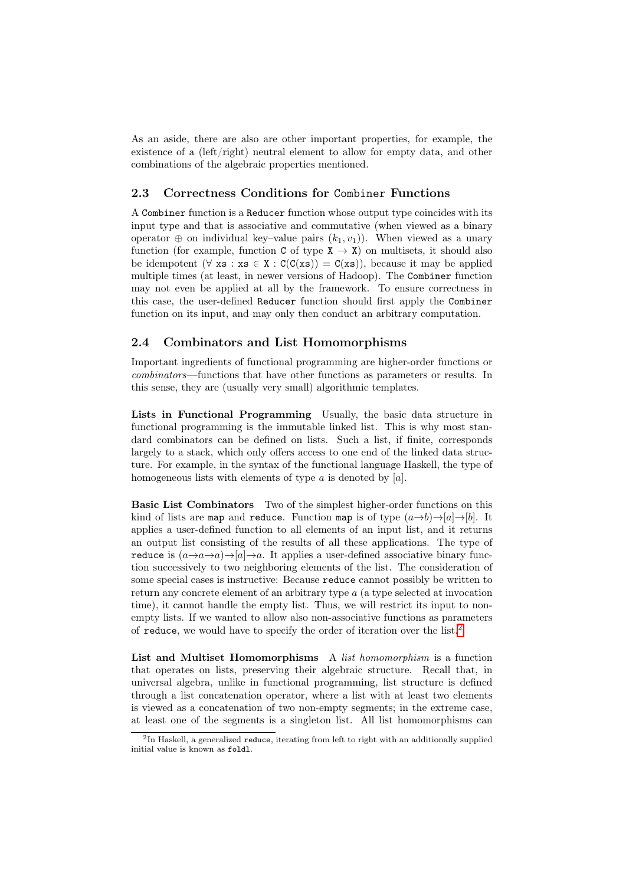As an aside, there are also are other important properties, for example, the existence of a (left/right) neutral element to allow for empty data, and other combinations of the algebraic properties mentioned.

# 2.3 Correctness Conditions for Combiner Functions

A Combiner function is a Reducer function whose output type coincides with its input type and that is associative and commutative (when viewed as a binary operator  $\oplus$  on individual key–value pairs  $(k_1, v_1)$ ). When viewed as a unary function (for example, function C of type  $X \to X$ ) on multisets, it should also be idempotent  $(\forall \mathbf{x} \mathbf{s} : \mathbf{x} \in \mathbf{X} : C(C(\mathbf{x}\mathbf{s})) = C(\mathbf{x}\mathbf{s}))$ , because it may be applied multiple times (at least, in newer versions of Hadoop). The Combiner function may not even be applied at all by the framework. To ensure correctness in this case, the user-defined Reducer function should first apply the Combiner function on its input, and may only then conduct an arbitrary computation.

## <span id="page-7-1"></span>2.4 Combinators and List Homomorphisms

Important ingredients of functional programming are higher-order functions or combinators—functions that have other functions as parameters or results. In this sense, they are (usually very small) algorithmic templates.

Lists in Functional Programming Usually, the basic data structure in functional programming is the immutable linked list. This is why most standard combinators can be defined on lists. Such a list, if finite, corresponds largely to a stack, which only offers access to one end of the linked data structure. For example, in the syntax of the functional language Haskell, the type of homogeneous lists with elements of type  $a$  is denoted by  $[a]$ .

Basic List Combinators Two of the simplest higher-order functions on this kind of lists are map and reduce. Function map is of type  $(a\rightarrow b)\rightarrow [a]\rightarrow [b]$ . It applies a user-defined function to all elements of an input list, and it returns an output list consisting of the results of all these applications. The type of reduce is  $(a\rightarrow a\rightarrow a) \rightarrow |a| \rightarrow a$ . It applies a user-defined associative binary function successively to two neighboring elements of the list. The consideration of some special cases is instructive: Because reduce cannot possibly be written to return any concrete element of an arbitrary type a (a type selected at invocation time), it cannot handle the empty list. Thus, we will restrict its input to nonempty lists. If we wanted to allow also non-associative functions as parameters of reduce, we would have to specify the order of iteration over the list.<sup>[2](#page-7-0)</sup>

List and Multiset Homomorphisms A list homomorphism is a function that operates on lists, preserving their algebraic structure. Recall that, in universal algebra, unlike in functional programming, list structure is defined through a list concatenation operator, where a list with at least two elements is viewed as a concatenation of two non-empty segments; in the extreme case, at least one of the segments is a singleton list. All list homomorphisms can

<span id="page-7-0"></span> ${}^{2}\text{In}$  Haskell, a generalized reduce, iterating from left to right with an additionally supplied initial value is known as foldl.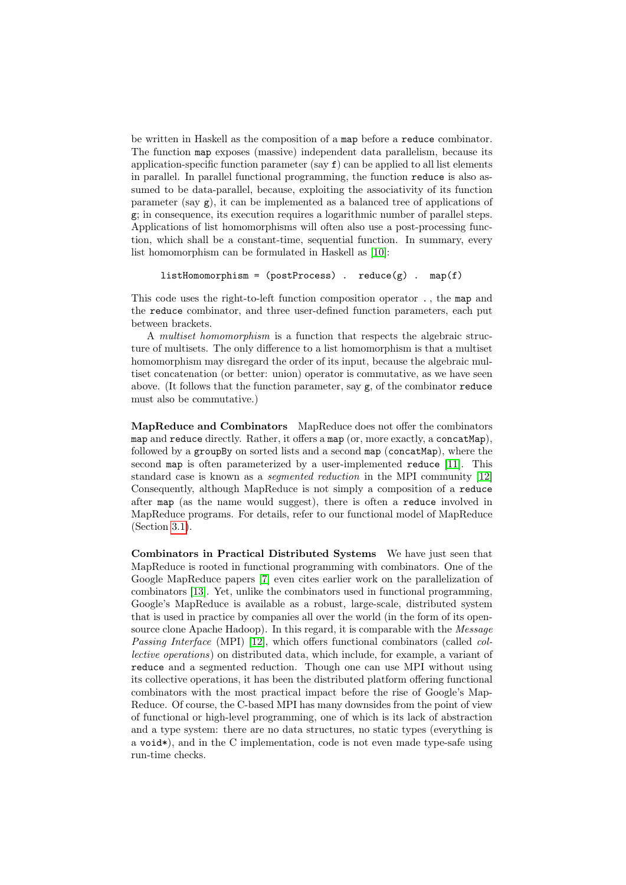<span id="page-8-0"></span>be written in Haskell as the composition of a map before a reduce combinator. The function map exposes (massive) independent data parallelism, because its application-specific function parameter (say  $f$ ) can be applied to all list elements in parallel. In parallel functional programming, the function reduce is also assumed to be data-parallel, because, exploiting the associativity of its function parameter (say  $g$ ), it can be implemented as a balanced tree of applications of g; in consequence, its execution requires a logarithmic number of parallel steps. Applications of list homomorphisms will often also use a post-processing function, which shall be a constant-time, sequential function. In summary, every list homomorphism can be formulated in Haskell as [\[10\]](#page-37-7):

```
listHomomorphism = (postProcess). reduce(g). map(f)
```
This code uses the right-to-left function composition operator . , the map and the reduce combinator, and three user-defined function parameters, each put between brackets.

A multiset homomorphism is a function that respects the algebraic structure of multisets. The only difference to a list homomorphism is that a multiset homomorphism may disregard the order of its input, because the algebraic multiset concatenation (or better: union) operator is commutative, as we have seen above. (It follows that the function parameter, say  $g$ , of the combinator reduce must also be commutative.)

MapReduce and Combinators MapReduce does not offer the combinators map and reduce directly. Rather, it offers a map (or, more exactly, a concatMap), followed by a groupBy on sorted lists and a second map (concatMap), where the second map is often parameterized by a user-implemented reduce [\[11\]](#page-37-8). This standard case is known as a segmented reduction in the MPI community [\[12\]](#page-37-9) Consequently, although MapReduce is not simply a composition of a reduce after map (as the name would suggest), there is often a reduce involved in MapReduce programs. For details, refer to our functional model of MapReduce (Section [3.1\)](#page-9-1).

Combinators in Practical Distributed Systems We have just seen that MapReduce is rooted in functional programming with combinators. One of the Google MapReduce papers [\[7\]](#page-37-4) even cites earlier work on the parallelization of combinators [\[13\]](#page-37-10). Yet, unlike the combinators used in functional programming, Google's MapReduce is available as a robust, large-scale, distributed system that is used in practice by companies all over the world (in the form of its opensource clone Apache Hadoop). In this regard, it is comparable with the Message Passing Interface (MPI) [\[12\]](#page-37-9), which offers functional combinators (called *col*lective operations) on distributed data, which include, for example, a variant of reduce and a segmented reduction. Though one can use MPI without using its collective operations, it has been the distributed platform offering functional combinators with the most practical impact before the rise of Google's Map-Reduce. Of course, the C-based MPI has many downsides from the point of view of functional or high-level programming, one of which is its lack of abstraction and a type system: there are no data structures, no static types (everything is a void\*), and in the C implementation, code is not even made type-safe using run-time checks.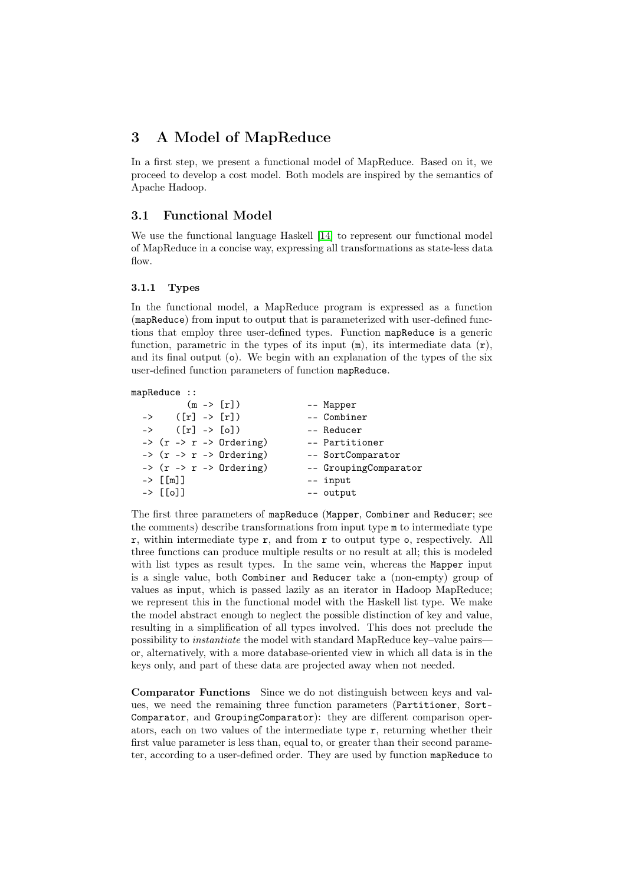# <span id="page-9-2"></span><span id="page-9-0"></span>3 A Model of MapReduce

In a first step, we present a functional model of MapReduce. Based on it, we proceed to develop a cost model. Both models are inspired by the semantics of Apache Hadoop.

# <span id="page-9-1"></span>3.1 Functional Model

We use the functional language Haskell [\[14\]](#page-37-11) to represent our functional model of MapReduce in a concise way, expressing all transformations as state-less data flow.

#### 3.1.1 Types

In the functional model, a MapReduce program is expressed as a function (mapReduce) from input to output that is parameterized with user-defined functions that employ three user-defined types. Function mapReduce is a generic function, parametric in the types of its input  $(m)$ , its intermediate data  $(r)$ , and its final output (o). We begin with an explanation of the types of the six user-defined function parameters of function mapReduce.

mapReduce ::

| $(m \rightarrow [r])$                                    |  | -- Mapper             |
|----------------------------------------------------------|--|-----------------------|
| $\rightarrow$ ([r] $\rightarrow$ [r])                    |  | -- Combiner           |
| $\rightarrow$ ([r] $\rightarrow$ [o])                    |  | -- Reducer            |
| $\rightarrow$ (r $\rightarrow$ r $\rightarrow$ Ordering) |  | -- Partitioner        |
| $\rightarrow$ (r $\rightarrow$ r $\rightarrow$ Ordering) |  | -- SortComparator     |
| $\rightarrow$ (r $\rightarrow$ r $\rightarrow$ Ordering) |  | -- GroupingComparator |
| $\rightarrow$ [[m]]                                      |  | -- input              |
| $\rightarrow$ [[o]]                                      |  | -- output             |

The first three parameters of mapReduce (Mapper, Combiner and Reducer; see the comments) describe transformations from input type m to intermediate type r, within intermediate type r, and from r to output type o, respectively. All three functions can produce multiple results or no result at all; this is modeled with list types as result types. In the same vein, whereas the Mapper input is a single value, both Combiner and Reducer take a (non-empty) group of values as input, which is passed lazily as an iterator in Hadoop MapReduce; we represent this in the functional model with the Haskell list type. We make the model abstract enough to neglect the possible distinction of key and value, resulting in a simplification of all types involved. This does not preclude the possibility to instantiate the model with standard MapReduce key–value pairs or, alternatively, with a more database-oriented view in which all data is in the keys only, and part of these data are projected away when not needed.

Comparator Functions Since we do not distinguish between keys and values, we need the remaining three function parameters (Partitioner, Sort-Comparator, and GroupingComparator): they are different comparison operators, each on two values of the intermediate type r, returning whether their first value parameter is less than, equal to, or greater than their second parameter, according to a user-defined order. They are used by function mapReduce to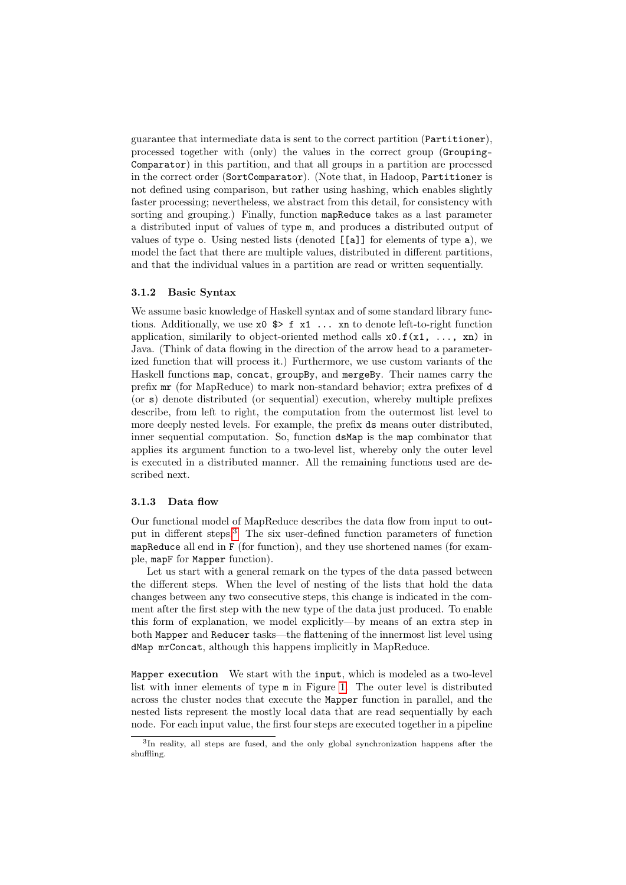guarantee that intermediate data is sent to the correct partition (Partitioner), processed together with (only) the values in the correct group (Grouping-Comparator) in this partition, and that all groups in a partition are processed in the correct order (SortComparator). (Note that, in Hadoop, Partitioner is not defined using comparison, but rather using hashing, which enables slightly faster processing; nevertheless, we abstract from this detail, for consistency with sorting and grouping.) Finally, function mapReduce takes as a last parameter a distributed input of values of type m, and produces a distributed output of values of type o. Using nested lists (denoted [[a]] for elements of type a), we model the fact that there are multiple values, distributed in different partitions, and that the individual values in a partition are read or written sequentially.

## 3.1.2 Basic Syntax

We assume basic knowledge of Haskell syntax and of some standard library functions. Additionally, we use  $x0 \leftrightarrow f x1$ ... xn to denote left-to-right function application, similarily to object-oriented method calls  $x0.f(x1, \ldots, xn)$  in Java. (Think of data flowing in the direction of the arrow head to a parameterized function that will process it.) Furthermore, we use custom variants of the Haskell functions map, concat, groupBy, and mergeBy. Their names carry the prefix mr (for MapReduce) to mark non-standard behavior; extra prefixes of d (or s) denote distributed (or sequential) execution, whereby multiple prefixes describe, from left to right, the computation from the outermost list level to more deeply nested levels. For example, the prefix ds means outer distributed, inner sequential computation. So, function dsMap is the map combinator that applies its argument function to a two-level list, whereby only the outer level is executed in a distributed manner. All the remaining functions used are described next.

## 3.1.3 Data flow

Our functional model of MapReduce describes the data flow from input to output in different steps.[3](#page-10-0) The six user-defined function parameters of function mapReduce all end in F (for function), and they use shortened names (for example, mapF for Mapper function).

Let us start with a general remark on the types of the data passed between the different steps. When the level of nesting of the lists that hold the data changes between any two consecutive steps, this change is indicated in the comment after the first step with the new type of the data just produced. To enable this form of explanation, we model explicitly—by means of an extra step in both Mapper and Reducer tasks—the flattening of the innermost list level using dMap mrConcat, although this happens implicitly in MapReduce.

Mapper execution We start with the input, which is modeled as a two-level list with inner elements of type m in Figure [1.](#page-11-0) The outer level is distributed across the cluster nodes that execute the Mapper function in parallel, and the nested lists represent the mostly local data that are read sequentially by each node. For each input value, the first four steps are executed together in a pipeline

<span id="page-10-0"></span><sup>&</sup>lt;sup>3</sup>In reality, all steps are fused, and the only global synchronization happens after the shuffling.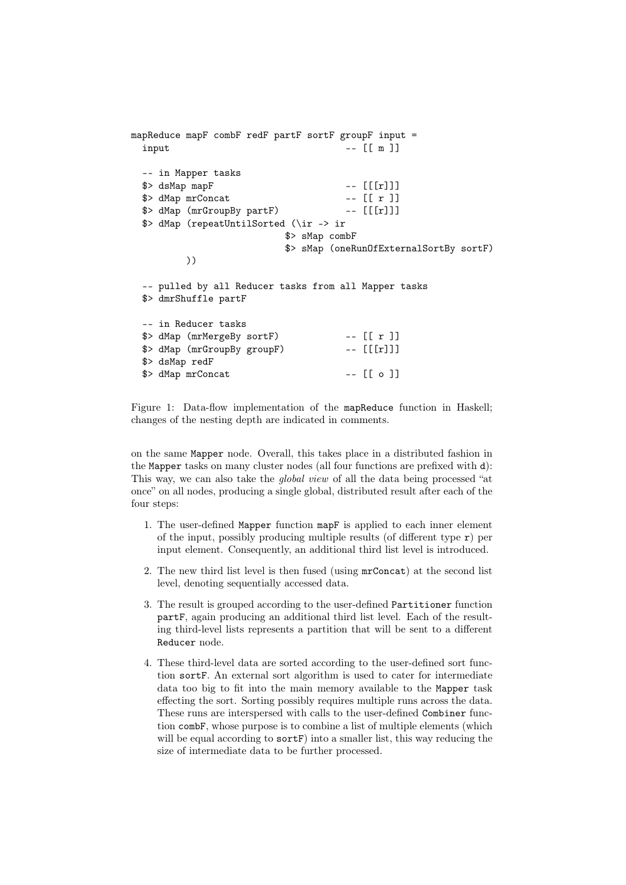```
mapReduce mapF combF redF partF sortF groupF input =
 input -- [[ m ]]
 -- in Mapper tasks
 \Rightarrow dsMap mapF - [[[r]]]
 \Rightarrow dMap mrConcat -- [[ r ]]
 $> dMap (mrGroupBy partF) -- [[[r]]]
 $> dMap (repeatUntilSorted (\ir -> ir
                       $> sMap combF
                       $> sMap (oneRunOfExternalSortBy sortF)
        ))
 -- pulled by all Reducer tasks from all Mapper tasks
 $> dmrShuffle partF
 -- in Reducer tasks
 $> dMap (mrMergeBy sortF) -- [[ r ]]
 $> dMap (mrGroupBy groupF) -- [[[r]]]
 $> dsMap redF
 \Rightarrow dMap mrConcat -- [[ o ]]
```
<span id="page-11-0"></span>Figure 1: Data-flow implementation of the mapReduce function in Haskell; changes of the nesting depth are indicated in comments.

on the same Mapper node. Overall, this takes place in a distributed fashion in the Mapper tasks on many cluster nodes (all four functions are prefixed with d): This way, we can also take the *global view* of all the data being processed "at once" on all nodes, producing a single global, distributed result after each of the four steps:

- 1. The user-defined Mapper function mapF is applied to each inner element of the input, possibly producing multiple results (of different type  $\mathbf r$ ) per input element. Consequently, an additional third list level is introduced.
- 2. The new third list level is then fused (using mrConcat) at the second list level, denoting sequentially accessed data.
- 3. The result is grouped according to the user-defined Partitioner function partF, again producing an additional third list level. Each of the resulting third-level lists represents a partition that will be sent to a different Reducer node.
- 4. These third-level data are sorted according to the user-defined sort function sortF. An external sort algorithm is used to cater for intermediate data too big to fit into the main memory available to the Mapper task effecting the sort. Sorting possibly requires multiple runs across the data. These runs are interspersed with calls to the user-defined Combiner function combF, whose purpose is to combine a list of multiple elements (which will be equal according to sortF) into a smaller list, this way reducing the size of intermediate data to be further processed.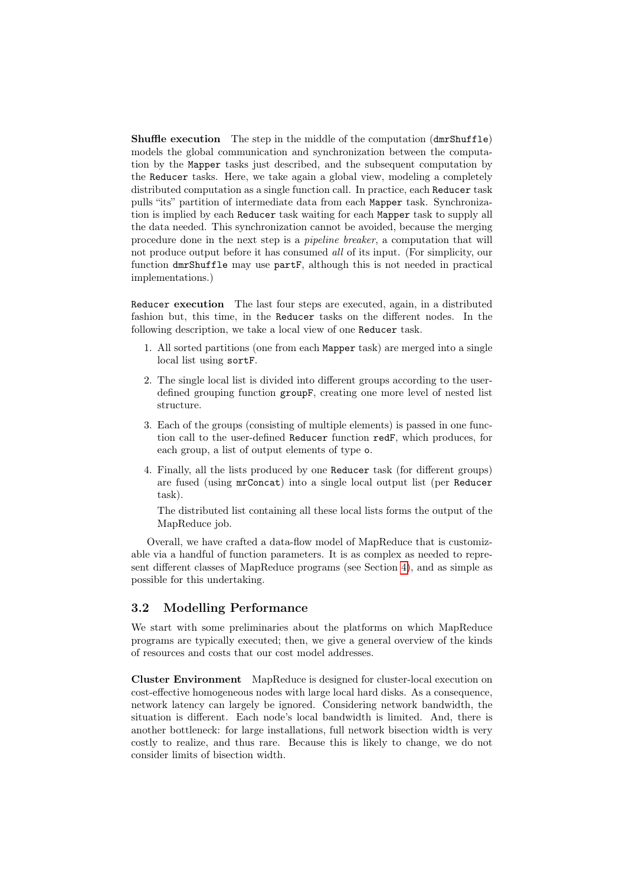Shuffle execution The step in the middle of the computation (dmrShuffle) models the global communication and synchronization between the computation by the Mapper tasks just described, and the subsequent computation by the Reducer tasks. Here, we take again a global view, modeling a completely distributed computation as a single function call. In practice, each Reducer task pulls "its" partition of intermediate data from each Mapper task. Synchronization is implied by each Reducer task waiting for each Mapper task to supply all the data needed. This synchronization cannot be avoided, because the merging procedure done in the next step is a pipeline breaker, a computation that will not produce output before it has consumed *all* of its input. (For simplicity, our function dmrShuffle may use partF, although this is not needed in practical implementations.)

Reducer execution The last four steps are executed, again, in a distributed fashion but, this time, in the Reducer tasks on the different nodes. In the following description, we take a local view of one Reducer task.

- 1. All sorted partitions (one from each Mapper task) are merged into a single local list using sortF.
- 2. The single local list is divided into different groups according to the userdefined grouping function groupF, creating one more level of nested list structure.
- 3. Each of the groups (consisting of multiple elements) is passed in one function call to the user-defined Reducer function redF, which produces, for each group, a list of output elements of type o.
- 4. Finally, all the lists produced by one Reducer task (for different groups) are fused (using mrConcat) into a single local output list (per Reducer task).

The distributed list containing all these local lists forms the output of the MapReduce job.

Overall, we have crafted a data-flow model of MapReduce that is customizable via a handful of function parameters. It is as complex as needed to represent different classes of MapReduce programs (see Section [4\)](#page-18-0), and as simple as possible for this undertaking.

## <span id="page-12-0"></span>3.2 Modelling Performance

We start with some preliminaries about the platforms on which MapReduce programs are typically executed; then, we give a general overview of the kinds of resources and costs that our cost model addresses.

Cluster Environment MapReduce is designed for cluster-local execution on cost-effective homogeneous nodes with large local hard disks. As a consequence, network latency can largely be ignored. Considering network bandwidth, the situation is different. Each node's local bandwidth is limited. And, there is another bottleneck: for large installations, full network bisection width is very costly to realize, and thus rare. Because this is likely to change, we do not consider limits of bisection width.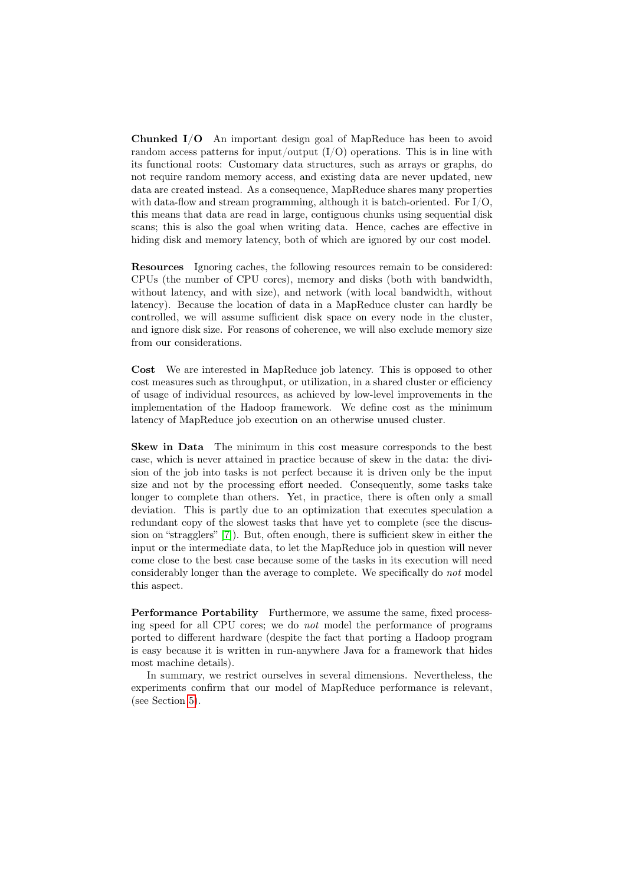<span id="page-13-0"></span>Chunked I/O An important design goal of MapReduce has been to avoid random access patterns for input/output  $(I/O)$  operations. This is in line with its functional roots: Customary data structures, such as arrays or graphs, do not require random memory access, and existing data are never updated, new data are created instead. As a consequence, MapReduce shares many properties with data-flow and stream programming, although it is batch-oriented. For  $I/O$ , this means that data are read in large, contiguous chunks using sequential disk scans; this is also the goal when writing data. Hence, caches are effective in hiding disk and memory latency, both of which are ignored by our cost model.

Resources Ignoring caches, the following resources remain to be considered: CPUs (the number of CPU cores), memory and disks (both with bandwidth, without latency, and with size), and network (with local bandwidth, without latency). Because the location of data in a MapReduce cluster can hardly be controlled, we will assume sufficient disk space on every node in the cluster, and ignore disk size. For reasons of coherence, we will also exclude memory size from our considerations.

Cost We are interested in MapReduce job latency. This is opposed to other cost measures such as throughput, or utilization, in a shared cluster or efficiency of usage of individual resources, as achieved by low-level improvements in the implementation of the Hadoop framework. We define cost as the minimum latency of MapReduce job execution on an otherwise unused cluster.

Skew in Data The minimum in this cost measure corresponds to the best case, which is never attained in practice because of skew in the data: the division of the job into tasks is not perfect because it is driven only be the input size and not by the processing effort needed. Consequently, some tasks take longer to complete than others. Yet, in practice, there is often only a small deviation. This is partly due to an optimization that executes speculation a redundant copy of the slowest tasks that have yet to complete (see the discussion on "stragglers" [\[7\]](#page-37-4)). But, often enough, there is sufficient skew in either the input or the intermediate data, to let the MapReduce job in question will never come close to the best case because some of the tasks in its execution will need considerably longer than the average to complete. We specifically do not model this aspect.

Performance Portability Furthermore, we assume the same, fixed processing speed for all CPU cores; we do not model the performance of programs ported to different hardware (despite the fact that porting a Hadoop program is easy because it is written in run-anywhere Java for a framework that hides most machine details).

In summary, we restrict ourselves in several dimensions. Nevertheless, the experiments confirm that our model of MapReduce performance is relevant, (see Section [5\)](#page-28-0).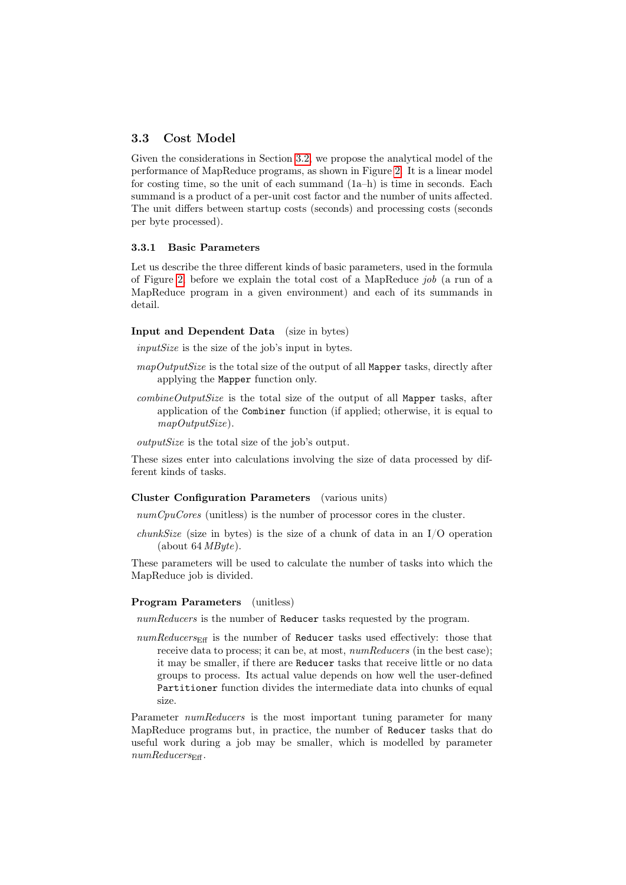## 3.3 Cost Model

Given the considerations in Section [3.2,](#page-12-0) we propose the analytical model of the performance of MapReduce programs, as shown in Figure [2.](#page-15-0) It is a linear model for costing time, so the unit of each summand (1a–h) is time in seconds. Each summand is a product of a per-unit cost factor and the number of units affected. The unit differs between startup costs (seconds) and processing costs (seconds per byte processed).

## <span id="page-14-0"></span>3.3.1 Basic Parameters

Let us describe the three different kinds of basic parameters, used in the formula of Figure [2,](#page-15-0) before we explain the total cost of a MapReduce job (a run of a MapReduce program in a given environment) and each of its summands in detail.

#### Input and Dependent Data (size in bytes)

inputSize is the size of the job's input in bytes.

- $mapOutputSize$  is the total size of the output of all Mapper tasks, directly after applying the Mapper function only.
- $combineOutputSize$  is the total size of the output of all Mapper tasks, after application of the Combiner function (if applied; otherwise, it is equal to mapOutputSize).

outputSize is the total size of the job's output.

These sizes enter into calculations involving the size of data processed by different kinds of tasks.

#### Cluster Configuration Parameters (various units)

numCpuCores (unitless) is the number of processor cores in the cluster.

chunkSize (size in bytes) is the size of a chunk of data in an  $I/O$  operation (about 64 MByte).

These parameters will be used to calculate the number of tasks into which the MapReduce job is divided.

#### Program Parameters (unitless)

numReducers is the number of Reducer tasks requested by the program.

 $numReducers<sub>Eff</sub>$  is the number of Reducer tasks used effectively: those that receive data to process; it can be, at most,  $numReducers$  (in the best case); it may be smaller, if there are Reducer tasks that receive little or no data groups to process. Its actual value depends on how well the user-defined Partitioner function divides the intermediate data into chunks of equal size.

Parameter  $numReducers$  is the most important tuning parameter for many MapReduce programs but, in practice, the number of Reducer tasks that do useful work during a job may be smaller, which is modelled by parameter  $numReducers_{\text{Eff}}$ .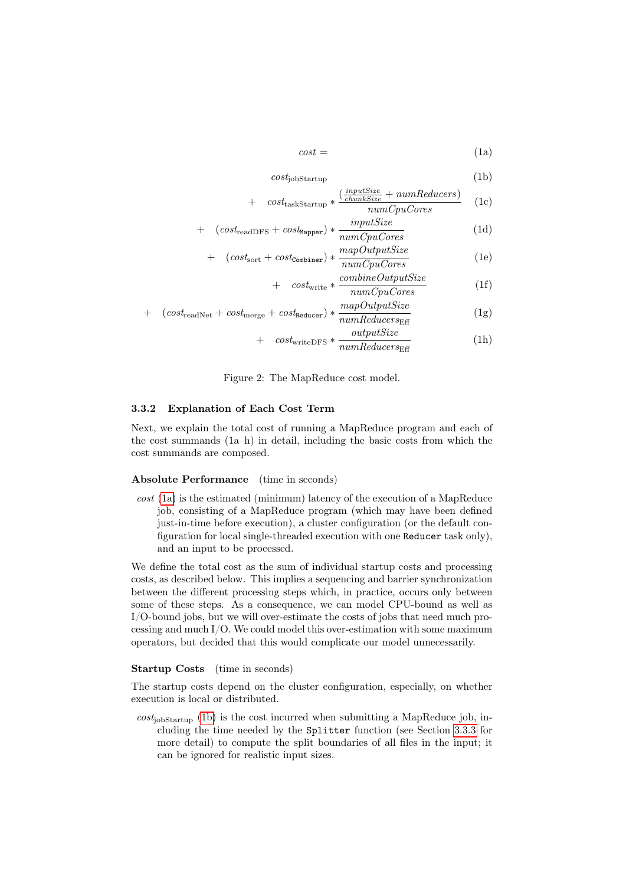<span id="page-15-5"></span><span id="page-15-4"></span><span id="page-15-3"></span><span id="page-15-2"></span><span id="page-15-1"></span>
$$
cost = (1a)
$$

$$
cost_{\text{jobStartup}} \tag{1b}
$$

+ 
$$
\cos t_{\text{taskStartup}} * \frac{\left(\frac{inputSize}{chunkSize} + numReducers\right)}{numCpuCores}
$$
 (1c)

+ 
$$
(cost_{\text{readDFS}} + cost_{\text{Mapper}}) * \frac{inputSize}{numCpuCores}
$$
 (1d)

+ 
$$
(\cos t_{\text{sort}} + \cos t_{\text{Combineer}}) * \frac{mapOutputSize}{numCpuCores}
$$
 (1e)

<span id="page-15-8"></span><span id="page-15-7"></span><span id="page-15-6"></span>+ 
$$
cost_{\text{write}} * \frac{combineOutputSize}{numCpuCores}
$$
 (1f)

+ 
$$
(cost_{\text{readNet}} + cost_{\text{merge}} + cost_{\text{Reduceer}}) * \frac{mapOutputSize}{numReducers_{\text{Eff}}}
$$
 (1g)

<span id="page-15-0"></span>+ 
$$
cost_{\text{writeDFS}} * \frac{outputSize}{numReducers_{\text{Eff}}}
$$
 (1h)

Figure 2: The MapReduce cost model.

## 3.3.2 Explanation of Each Cost Term

Next, we explain the total cost of running a MapReduce program and each of the cost summands (1a–h) in detail, including the basic costs from which the cost summands are composed.

#### Absolute Performance (time in seconds)

 $cost(1a)$  $cost(1a)$  is the estimated (minimum) latency of the execution of a MapReduce job, consisting of a MapReduce program (which may have been defined just-in-time before execution), a cluster configuration (or the default configuration for local single-threaded execution with one Reducer task only), and an input to be processed.

We define the total cost as the sum of individual startup costs and processing costs, as described below. This implies a sequencing and barrier synchronization between the different processing steps which, in practice, occurs only between some of these steps. As a consequence, we can model CPU-bound as well as I/O-bound jobs, but we will over-estimate the costs of jobs that need much processing and much I/O. We could model this over-estimation with some maximum operators, but decided that this would complicate our model unnecessarily.

#### Startup Costs (time in seconds)

The startup costs depend on the cluster configuration, especially, on whether execution is local or distributed.

 $cost_{jobStartup}$  [\(1b\)](#page-15-2) is the cost incurred when submitting a MapReduce job, including the time needed by the Splitter function (see Section [3.3.3](#page-17-0) for more detail) to compute the split boundaries of all files in the input; it can be ignored for realistic input sizes.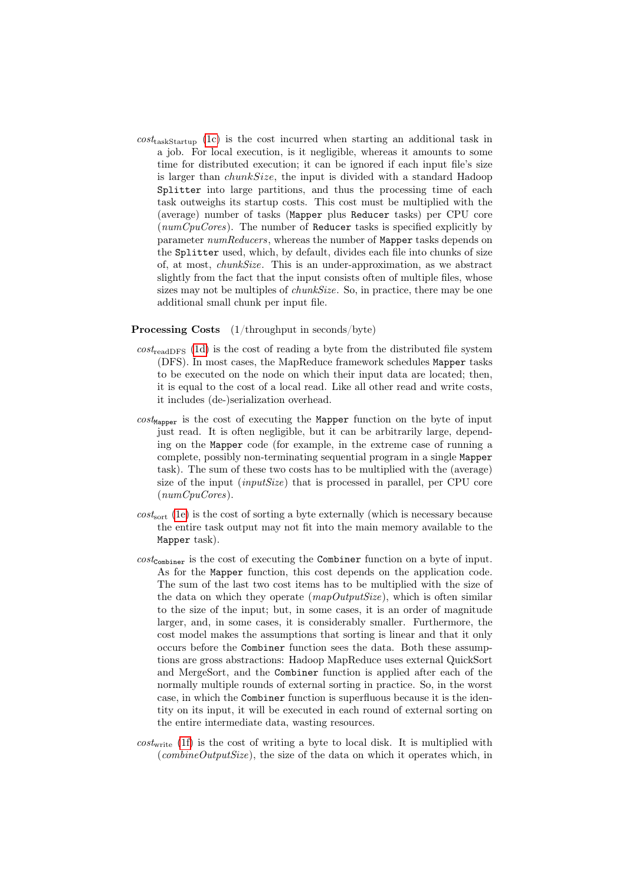$cost_{taskStartup}$  [\(1c\)](#page-15-3) is the cost incurred when starting an additional task in a job. For local execution, is it negligible, whereas it amounts to some time for distributed execution; it can be ignored if each input file's size is larger than chunkSize, the input is divided with a standard Hadoop Splitter into large partitions, and thus the processing time of each task outweighs its startup costs. This cost must be multiplied with the (average) number of tasks (Mapper plus Reducer tasks) per CPU core  $(numCpuCores)$ . The number of Reducer tasks is specified explicitly by parameter numReducers, whereas the number of Mapper tasks depends on the Splitter used, which, by default, divides each file into chunks of size of, at most, chunkSize. This is an under-approximation, as we abstract slightly from the fact that the input consists often of multiple files, whose sizes may not be multiples of *chunkSize*. So, in practice, there may be one additional small chunk per input file.

#### Processing Costs (1/throughput in seconds/byte)

- $cost_{\text{readDFS}}$  [\(1d\)](#page-15-4) is the cost of reading a byte from the distributed file system (DFS). In most cases, the MapReduce framework schedules Mapper tasks to be executed on the node on which their input data are located; then, it is equal to the cost of a local read. Like all other read and write costs, it includes (de-)serialization overhead.
- $cost_{\text{Mapper}}$  is the cost of executing the Mapper function on the byte of input just read. It is often negligible, but it can be arbitrarily large, depending on the Mapper code (for example, in the extreme case of running a complete, possibly non-terminating sequential program in a single Mapper task). The sum of these two costs has to be multiplied with the (average) size of the input *(inputSize)* that is processed in parallel, per CPU core (numCpuCores).
- $cost_{sort}$  [\(1e\)](#page-15-5) is the cost of sorting a byte externally (which is necessary because the entire task output may not fit into the main memory available to the Mapper task).
- $cost_{\text{Combineer}}$  is the cost of executing the Combiner function on a byte of input. As for the Mapper function, this cost depends on the application code. The sum of the last two cost items has to be multiplied with the size of the data on which they operate  $(mapOutputSize)$ , which is often similar to the size of the input; but, in some cases, it is an order of magnitude larger, and, in some cases, it is considerably smaller. Furthermore, the cost model makes the assumptions that sorting is linear and that it only occurs before the Combiner function sees the data. Both these assumptions are gross abstractions: Hadoop MapReduce uses external QuickSort and MergeSort, and the Combiner function is applied after each of the normally multiple rounds of external sorting in practice. So, in the worst case, in which the Combiner function is superfluous because it is the identity on its input, it will be executed in each round of external sorting on the entire intermediate data, wasting resources.
- $cost_{\text{write}}$  [\(1f\)](#page-15-6) is the cost of writing a byte to local disk. It is multiplied with  $(combineOutputSize)$ , the size of the data on which it operates which, in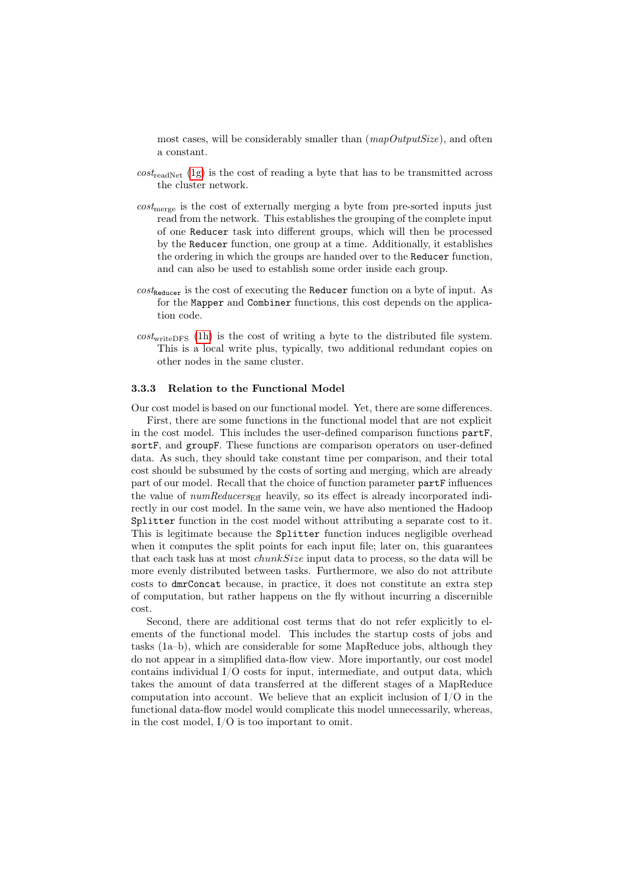most cases, will be considerably smaller than  $(mapOutputSize)$ , and often a constant.

- $cost_{\text{readNet}}$  [\(1g\)](#page-15-7) is the cost of reading a byte that has to be transmitted across the cluster network.
- $cost_{merge}$  is the cost of externally merging a byte from pre-sorted inputs just read from the network. This establishes the grouping of the complete input of one Reducer task into different groups, which will then be processed by the Reducer function, one group at a time. Additionally, it establishes the ordering in which the groups are handed over to the Reducer function, and can also be used to establish some order inside each group.
- $cost_{\text{Reduce}}$  is the cost of executing the Reducer function on a byte of input. As for the Mapper and Combiner functions, this cost depends on the application code.
- $cost_{\text{writeDFS}}$  [\(1h\)](#page-15-8) is the cost of writing a byte to the distributed file system. This is a local write plus, typically, two additional redundant copies on other nodes in the same cluster.

#### <span id="page-17-0"></span>3.3.3 Relation to the Functional Model

Our cost model is based on our functional model. Yet, there are some differences. First, there are some functions in the functional model that are not explicit in the cost model. This includes the user-defined comparison functions partF, sortF, and groupF. These functions are comparison operators on user-defined data. As such, they should take constant time per comparison, and their total cost should be subsumed by the costs of sorting and merging, which are already part of our model. Recall that the choice of function parameter partF influences the value of  $numReducers_{\text{Eff}}$  heavily, so its effect is already incorporated indirectly in our cost model. In the same vein, we have also mentioned the Hadoop Splitter function in the cost model without attributing a separate cost to it. This is legitimate because the Splitter function induces negligible overhead when it computes the split points for each input file; later on, this guarantees that each task has at most  $chunkSize$  input data to process, so the data will be more evenly distributed between tasks. Furthermore, we also do not attribute costs to dmrConcat because, in practice, it does not constitute an extra step of computation, but rather happens on the fly without incurring a discernible cost.

Second, there are additional cost terms that do not refer explicitly to elements of the functional model. This includes the startup costs of jobs and tasks (1a–b), which are considerable for some MapReduce jobs, although they do not appear in a simplified data-flow view. More importantly, our cost model contains individual I/O costs for input, intermediate, and output data, which takes the amount of data transferred at the different stages of a MapReduce computation into account. We believe that an explicit inclusion of  $I/O$  in the functional data-flow model would complicate this model unnecessarily, whereas, in the cost model, I/O is too important to omit.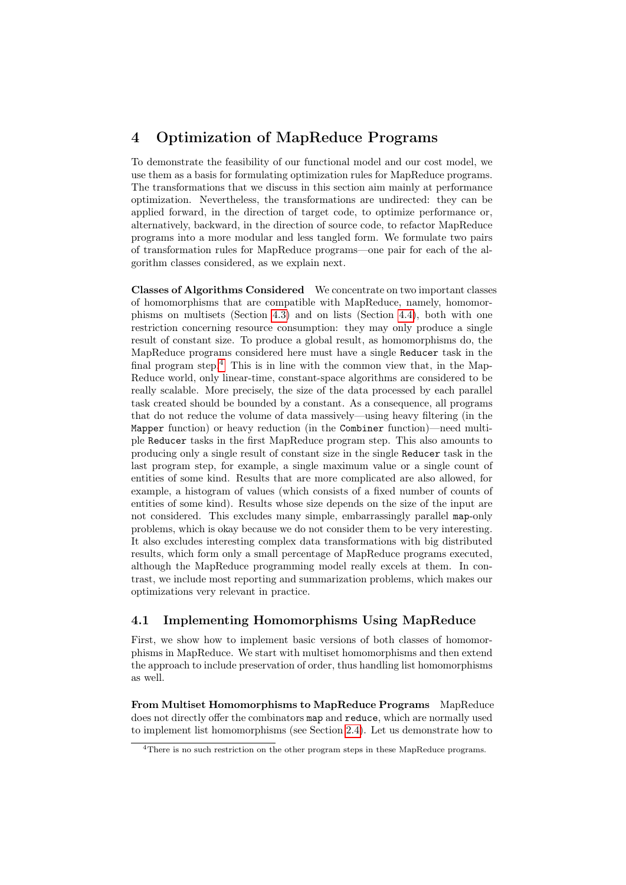# <span id="page-18-0"></span>4 Optimization of MapReduce Programs

To demonstrate the feasibility of our functional model and our cost model, we use them as a basis for formulating optimization rules for MapReduce programs. The transformations that we discuss in this section aim mainly at performance optimization. Nevertheless, the transformations are undirected: they can be applied forward, in the direction of target code, to optimize performance or, alternatively, backward, in the direction of source code, to refactor MapReduce programs into a more modular and less tangled form. We formulate two pairs of transformation rules for MapReduce programs—one pair for each of the algorithm classes considered, as we explain next.

Classes of Algorithms Considered We concentrate on two important classes of homomorphisms that are compatible with MapReduce, namely, homomorphisms on multisets (Section [4.3\)](#page-20-0) and on lists (Section [4.4\)](#page-24-0), both with one restriction concerning resource consumption: they may only produce a single result of constant size. To produce a global result, as homomorphisms do, the MapReduce programs considered here must have a single Reducer task in the final program step.<sup>[4](#page-18-1)</sup> This is in line with the common view that, in the Map-Reduce world, only linear-time, constant-space algorithms are considered to be really scalable. More precisely, the size of the data processed by each parallel task created should be bounded by a constant. As a consequence, all programs that do not reduce the volume of data massively—using heavy filtering (in the Mapper function) or heavy reduction (in the Combiner function)—need multiple Reducer tasks in the first MapReduce program step. This also amounts to producing only a single result of constant size in the single Reducer task in the last program step, for example, a single maximum value or a single count of entities of some kind. Results that are more complicated are also allowed, for example, a histogram of values (which consists of a fixed number of counts of entities of some kind). Results whose size depends on the size of the input are not considered. This excludes many simple, embarrassingly parallel map-only problems, which is okay because we do not consider them to be very interesting. It also excludes interesting complex data transformations with big distributed results, which form only a small percentage of MapReduce programs executed, although the MapReduce programming model really excels at them. In contrast, we include most reporting and summarization problems, which makes our optimizations very relevant in practice.

# 4.1 Implementing Homomorphisms Using MapReduce

First, we show how to implement basic versions of both classes of homomorphisms in MapReduce. We start with multiset homomorphisms and then extend the approach to include preservation of order, thus handling list homomorphisms as well.

From Multiset Homomorphisms to MapReduce Programs MapReduce does not directly offer the combinators map and reduce, which are normally used to implement list homomorphisms (see Section [2.4\)](#page-7-1). Let us demonstrate how to

<span id="page-18-1"></span><sup>4</sup>There is no such restriction on the other program steps in these MapReduce programs.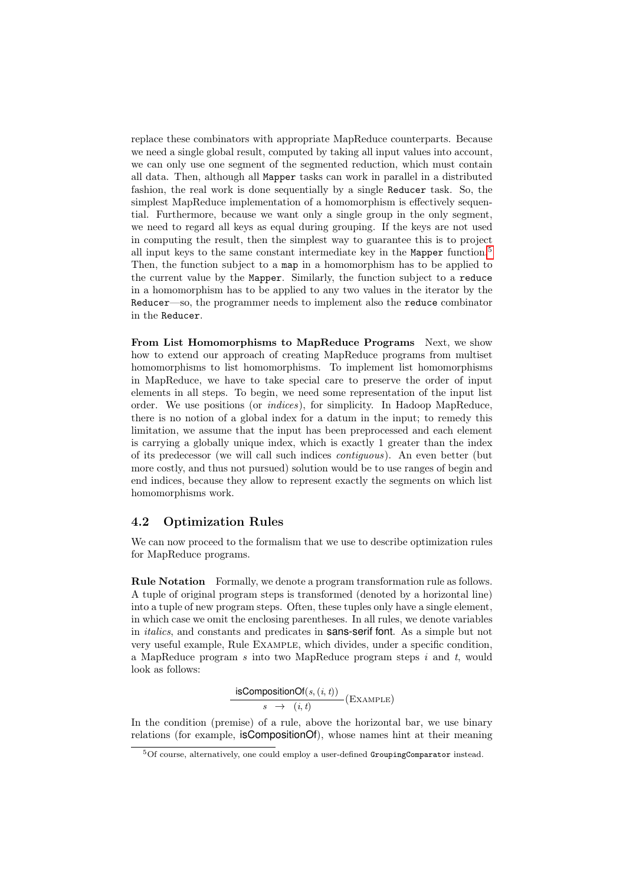replace these combinators with appropriate MapReduce counterparts. Because we need a single global result, computed by taking all input values into account, we can only use one segment of the segmented reduction, which must contain all data. Then, although all Mapper tasks can work in parallel in a distributed fashion, the real work is done sequentially by a single Reducer task. So, the simplest MapReduce implementation of a homomorphism is effectively sequential. Furthermore, because we want only a single group in the only segment, we need to regard all keys as equal during grouping. If the keys are not used in computing the result, then the simplest way to guarantee this is to project all input keys to the same constant intermediate key in the Mapper function.[5](#page-19-0) Then, the function subject to a map in a homomorphism has to be applied to the current value by the Mapper. Similarly, the function subject to a reduce in a homomorphism has to be applied to any two values in the iterator by the Reducer—so, the programmer needs to implement also the reduce combinator in the Reducer.

From List Homomorphisms to MapReduce Programs Next, we show how to extend our approach of creating MapReduce programs from multiset homomorphisms to list homomorphisms. To implement list homomorphisms in MapReduce, we have to take special care to preserve the order of input elements in all steps. To begin, we need some representation of the input list order. We use positions (or indices), for simplicity. In Hadoop MapReduce, there is no notion of a global index for a datum in the input; to remedy this limitation, we assume that the input has been preprocessed and each element is carrying a globally unique index, which is exactly 1 greater than the index of its predecessor (we will call such indices contiguous). An even better (but more costly, and thus not pursued) solution would be to use ranges of begin and end indices, because they allow to represent exactly the segments on which list homomorphisms work.

## <span id="page-19-1"></span>4.2 Optimization Rules

We can now proceed to the formalism that we use to describe optimization rules for MapReduce programs.

Rule Notation Formally, we denote a program transformation rule as follows. A tuple of original program steps is transformed (denoted by a horizontal line) into a tuple of new program steps. Often, these tuples only have a single element, in which case we omit the enclosing parentheses. In all rules, we denote variables in *italics*, and constants and predicates in **sans-serif font**. As a simple but not very useful example, Rule Example, which divides, under a specific condition, a MapReduce program s into two MapReduce program steps  $i$  and  $t$ , would look as follows:

$$
\frac{\text{isCompositionOf}(s,(i,t))}{s\rightarrow (i,t)}(\text{EXAMPLE})
$$

In the condition (premise) of a rule, above the horizontal bar, we use binary relations (for example, isCompositionOf), whose names hint at their meaning

<span id="page-19-0"></span><sup>5</sup>Of course, alternatively, one could employ a user-defined GroupingComparator instead.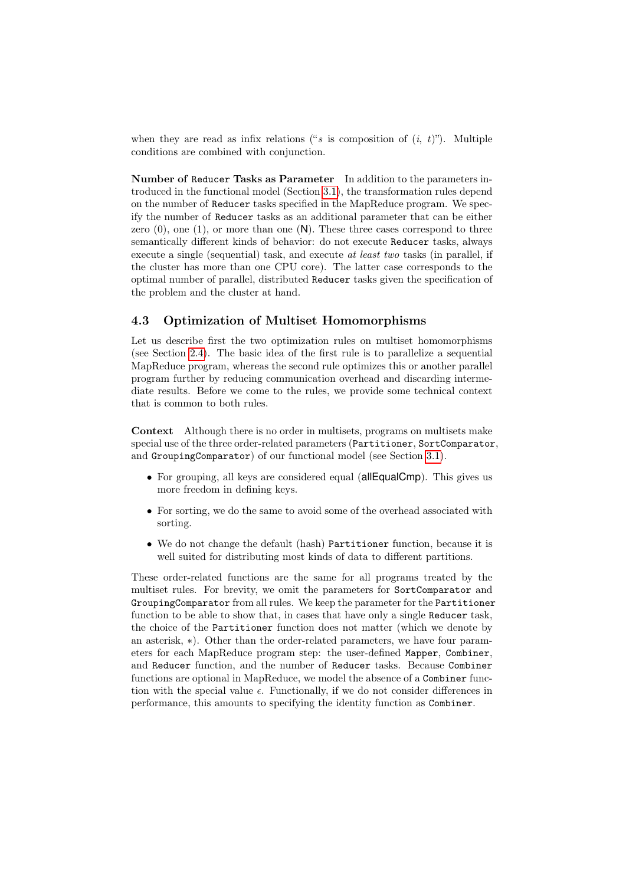when they are read as infix relations ("s is composition of  $(i, t)$ "). Multiple conditions are combined with conjunction.

Number of Reducer Tasks as Parameter In addition to the parameters introduced in the functional model (Section [3.1\)](#page-9-1), the transformation rules depend on the number of Reducer tasks specified in the MapReduce program. We specify the number of Reducer tasks as an additional parameter that can be either zero  $(0)$ , one  $(1)$ , or more than one  $(N)$ . These three cases correspond to three semantically different kinds of behavior: do not execute Reducer tasks, always execute a single (sequential) task, and execute at least two tasks (in parallel, if the cluster has more than one CPU core). The latter case corresponds to the optimal number of parallel, distributed Reducer tasks given the specification of the problem and the cluster at hand.

# <span id="page-20-0"></span>4.3 Optimization of Multiset Homomorphisms

Let us describe first the two optimization rules on multiset homomorphisms (see Section [2.4\)](#page-7-1). The basic idea of the first rule is to parallelize a sequential MapReduce program, whereas the second rule optimizes this or another parallel program further by reducing communication overhead and discarding intermediate results. Before we come to the rules, we provide some technical context that is common to both rules.

Context Although there is no order in multisets, programs on multisets make special use of the three order-related parameters (Partitioner, SortComparator, and GroupingComparator) of our functional model (see Section [3.1\)](#page-9-1).

- For grouping, all keys are considered equal (all Equal Cmp). This gives us more freedom in defining keys.
- For sorting, we do the same to avoid some of the overhead associated with sorting.
- We do not change the default (hash) Partitioner function, because it is well suited for distributing most kinds of data to different partitions.

These order-related functions are the same for all programs treated by the multiset rules. For brevity, we omit the parameters for SortComparator and GroupingComparator from all rules. We keep the parameter for the Partitioner function to be able to show that, in cases that have only a single Reducer task, the choice of the Partitioner function does not matter (which we denote by an asterisk, ∗). Other than the order-related parameters, we have four parameters for each MapReduce program step: the user-defined Mapper, Combiner, and Reducer function, and the number of Reducer tasks. Because Combiner functions are optional in MapReduce, we model the absence of a Combiner function with the special value  $\epsilon$ . Functionally, if we do not consider differences in performance, this amounts to specifying the identity function as Combiner.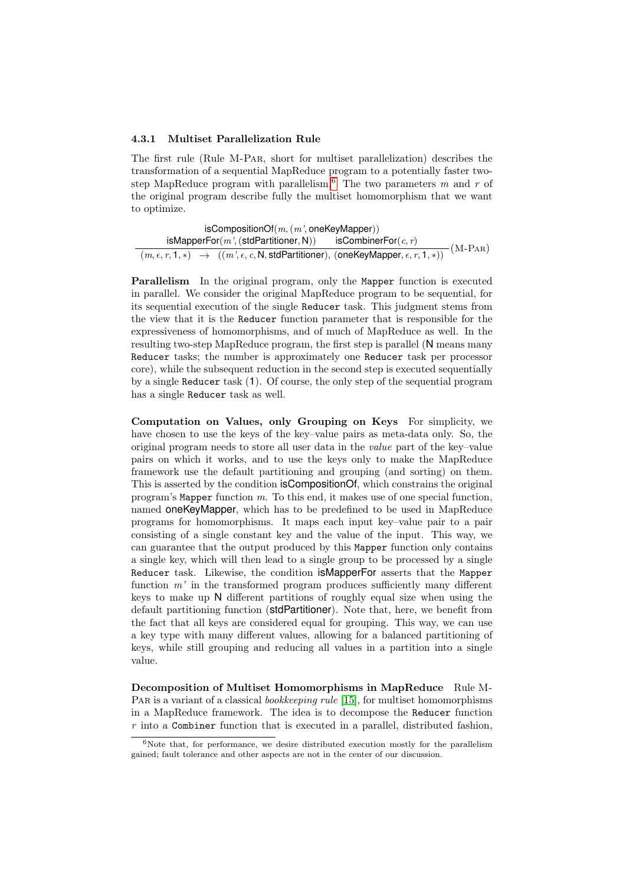#### <span id="page-21-2"></span><span id="page-21-1"></span>4.3.1 Multiset Parallelization Rule

The first rule (Rule M-Par, short for multiset parallelization) describes the transformation of a sequential MapReduce program to a potentially faster two-step MapReduce program with parallelism.<sup>[6](#page-21-0)</sup> The two parameters m and r of the original program describe fully the multiset homomorphism that we want to optimize.

 $isCompositionOf(m,(m',oneKeyMapper))$ isMapperFor(*m'*, (stdPartitioner, N)) isCombinerFor(*c, r*)<br>
(*m, ε, r*, 1, \*) → ((*m'*, *ε, c*, N, stdPartitioner), (oneKeyMapper, *ε, r*, 1, \*)) (M-PAR)

Parallelism In the original program, only the Mapper function is executed in parallel. We consider the original MapReduce program to be sequential, for its sequential execution of the single Reducer task. This judgment stems from the view that it is the Reducer function parameter that is responsible for the expressiveness of homomorphisms, and of much of MapReduce as well. In the resulting two-step MapReduce program, the first step is parallel (N means many Reducer tasks; the number is approximately one Reducer task per processor core), while the subsequent reduction in the second step is executed sequentially by a single Reducer task (1). Of course, the only step of the sequential program has a single Reducer task as well.

Computation on Values, only Grouping on Keys For simplicity, we have chosen to use the keys of the key–value pairs as meta-data only. So, the original program needs to store all user data in the value part of the key–value pairs on which it works, and to use the keys only to make the MapReduce framework use the default partitioning and grouping (and sorting) on them. This is asserted by the condition is Composition Of, which constrains the original program's Mapper function m. To this end, it makes use of one special function, named **oneKeyMapper**, which has to be predefined to be used in MapReduce programs for homomorphisms. It maps each input key–value pair to a pair consisting of a single constant key and the value of the input. This way, we can guarantee that the output produced by this Mapper function only contains a single key, which will then lead to a single group to be processed by a single Reducer task. Likewise, the condition isMapperFor asserts that the Mapper function  $m'$  in the transformed program produces sufficiently many different keys to make up N different partitions of roughly equal size when using the default partitioning function (stdPartitioner). Note that, here, we benefit from the fact that all keys are considered equal for grouping. This way, we can use a key type with many different values, allowing for a balanced partitioning of keys, while still grouping and reducing all values in a partition into a single value.

Decomposition of Multiset Homomorphisms in MapReduce Rule M-PAR is a variant of a classical *bookkeeping rule* [\[15\]](#page-37-12), for multiset homomorphisms in a MapReduce framework. The idea is to decompose the Reducer function  $r$  into a Combiner function that is executed in a parallel, distributed fashion,

<span id="page-21-0"></span> $6$ Note that, for performance, we desire distributed execution mostly for the parallelism gained; fault tolerance and other aspects are not in the center of our discussion.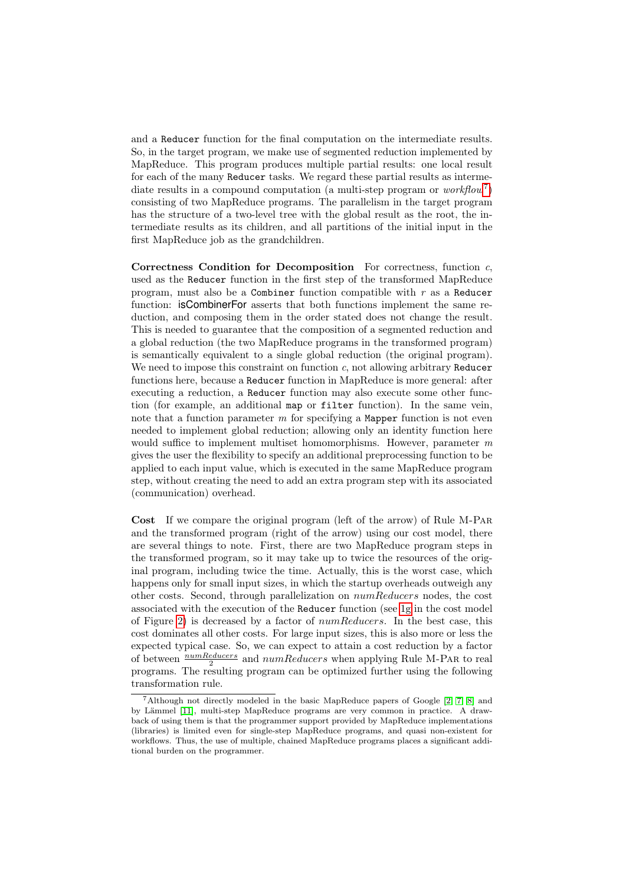<span id="page-22-1"></span>and a Reducer function for the final computation on the intermediate results. So, in the target program, we make use of segmented reduction implemented by MapReduce. This program produces multiple partial results: one local result for each of the many Reducer tasks. We regard these partial results as intermediate results in a compound computation (a multi-step program or  $workflow^7$  $workflow^7$ ) consisting of two MapReduce programs. The parallelism in the target program has the structure of a two-level tree with the global result as the root, the intermediate results as its children, and all partitions of the initial input in the first MapReduce job as the grandchildren.

Correctness Condition for Decomposition For correctness, function  $c$ , used as the Reducer function in the first step of the transformed MapReduce program, must also be a Combiner function compatible with  $r$  as a Reducer function: isCombinerFor asserts that both functions implement the same reduction, and composing them in the order stated does not change the result. This is needed to guarantee that the composition of a segmented reduction and a global reduction (the two MapReduce programs in the transformed program) is semantically equivalent to a single global reduction (the original program). We need to impose this constraint on function  $c$ , not allowing arbitrary Reducer functions here, because a Reducer function in MapReduce is more general: after executing a reduction, a Reducer function may also execute some other function (for example, an additional map or filter function). In the same vein, note that a function parameter  $m$  for specifying a Mapper function is not even needed to implement global reduction; allowing only an identity function here would suffice to implement multiset homomorphisms. However, parameter  $m$ gives the user the flexibility to specify an additional preprocessing function to be applied to each input value, which is executed in the same MapReduce program step, without creating the need to add an extra program step with its associated (communication) overhead.

Cost If we compare the original program (left of the arrow) of Rule M-Par and the transformed program (right of the arrow) using our cost model, there are several things to note. First, there are two MapReduce program steps in the transformed program, so it may take up to twice the resources of the original program, including twice the time. Actually, this is the worst case, which happens only for small input sizes, in which the startup overheads outweigh any other costs. Second, through parallelization on numReducers nodes, the cost associated with the execution of the Reducer function (see [1g](#page-15-7) in the cost model of Figure [2\)](#page-15-0) is decreased by a factor of numReducers. In the best case, this cost dominates all other costs. For large input sizes, this is also more or less the expected typical case. So, we can expect to attain a cost reduction by a factor of between  $\frac{numReducers}{2}$  and  $numReducers$  when applying Rule M-PAR to real programs. The resulting program can be optimized further using the following transformation rule.

<span id="page-22-0"></span><sup>7</sup>Although not directly modeled in the basic MapReduce papers of Google [\[2,](#page-36-1) [7,](#page-37-4) [8\]](#page-37-5) and by Lämmel [\[11\]](#page-37-8), multi-step MapReduce programs are very common in practice. A drawback of using them is that the programmer support provided by MapReduce implementations (libraries) is limited even for single-step MapReduce programs, and quasi non-existent for workflows. Thus, the use of multiple, chained MapReduce programs places a significant additional burden on the programmer.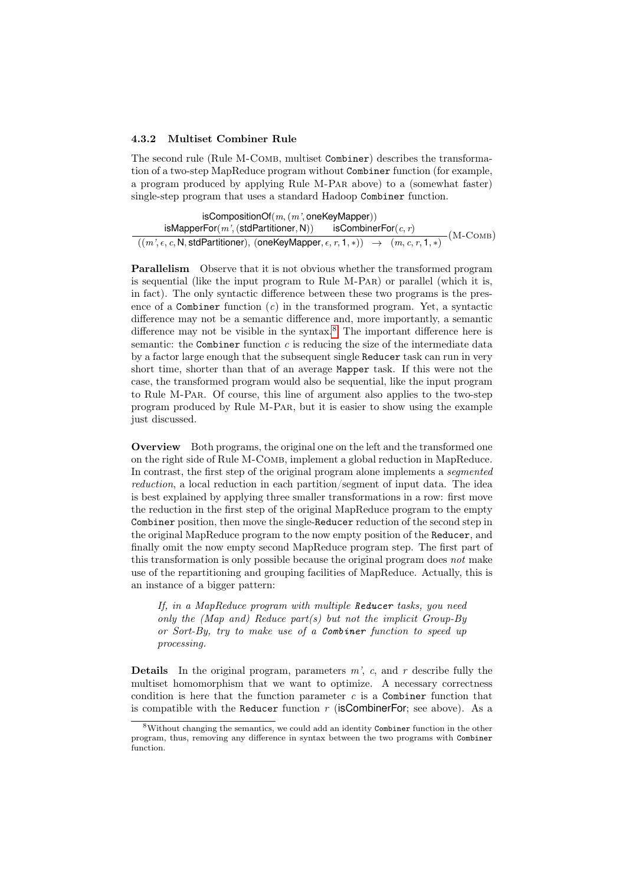#### 4.3.2 Multiset Combiner Rule

The second rule (Rule M-Comb, multiset Combiner) describes the transformation of a two-step MapReduce program without Combiner function (for example, a program produced by applying Rule M-Par above) to a (somewhat faster) single-step program that uses a standard Hadoop Combiner function.

 $isCompositionOf(m,(m',oneKeyMapper))$ isMapperFor $(m',$ (stdPartitioner, N)) isCombinerFor $(c, r)$ ((m',  $\epsilon$ , c, N, stdPartitioner), (oneKeyMapper,  $\epsilon$ , r, 1, \*))  $\rightarrow$   $(m, c, r, 1, *)$  (M-Comb)

Parallelism Observe that it is not obvious whether the transformed program is sequential (like the input program to Rule M-Par) or parallel (which it is, in fact). The only syntactic difference between these two programs is the presence of a Combiner function  $(c)$  in the transformed program. Yet, a syntactic difference may not be a semantic difference and, more importantly, a semantic difference may not be visible in the syntax.<sup>[8](#page-23-0)</sup> The important difference here is semantic: the Combiner function  $c$  is reducing the size of the intermediate data by a factor large enough that the subsequent single Reducer task can run in very short time, shorter than that of an average Mapper task. If this were not the case, the transformed program would also be sequential, like the input program to Rule M-Par. Of course, this line of argument also applies to the two-step program produced by Rule M-Par, but it is easier to show using the example just discussed.

Overview Both programs, the original one on the left and the transformed one on the right side of Rule M-Comb, implement a global reduction in MapReduce. In contrast, the first step of the original program alone implements a *segmented* reduction, a local reduction in each partition/segment of input data. The idea is best explained by applying three smaller transformations in a row: first move the reduction in the first step of the original MapReduce program to the empty Combiner position, then move the single-Reducer reduction of the second step in the original MapReduce program to the now empty position of the Reducer, and finally omit the now empty second MapReduce program step. The first part of this transformation is only possible because the original program does not make use of the repartitioning and grouping facilities of MapReduce. Actually, this is an instance of a bigger pattern:

If, in a MapReduce program with multiple Reducer tasks, you need only the (Map and) Reduce part(s) but not the implicit Group-By or Sort-By, try to make use of a Combiner function to speed up processing.

**Details** In the original program, parameters  $m'$ ,  $c$ , and  $r$  describe fully the multiset homomorphism that we want to optimize. A necessary correctness condition is here that the function parameter  $c$  is a Combiner function that is compatible with the Reducer function r (isCombinerFor; see above). As a

<span id="page-23-0"></span><sup>8</sup>Without changing the semantics, we could add an identity Combiner function in the other program, thus, removing any difference in syntax between the two programs with Combiner function.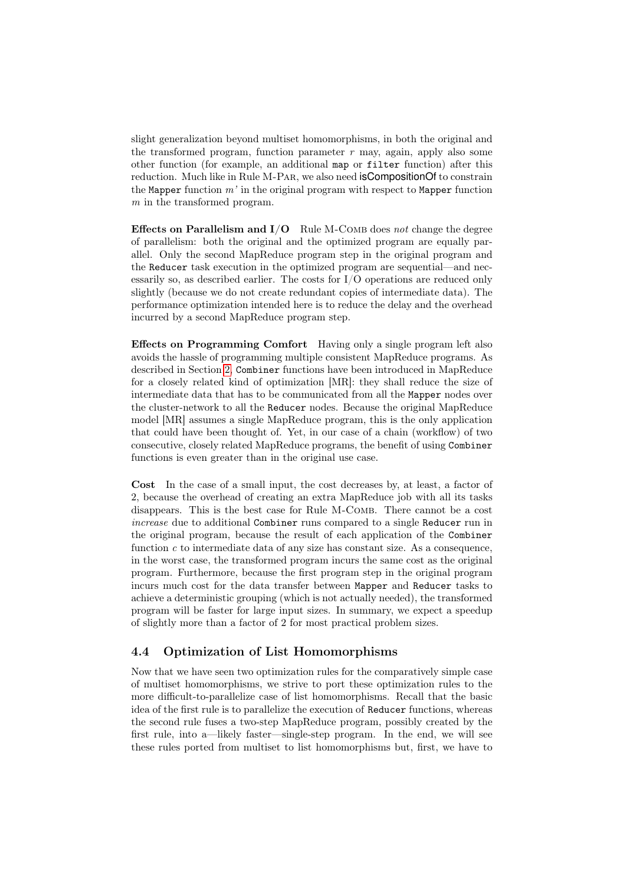slight generalization beyond multiset homomorphisms, in both the original and the transformed program, function parameter  $r$  may, again, apply also some other function (for example, an additional map or filter function) after this reduction. Much like in Rule M-PAR, we also need isCompositionOf to constrain the Mapper function  $m'$  in the original program with respect to Mapper function m in the transformed program.

**Effects on Parallelism and I/O** Rule M-COMB does not change the degree of parallelism: both the original and the optimized program are equally parallel. Only the second MapReduce program step in the original program and the Reducer task execution in the optimized program are sequential—and necessarily so, as described earlier. The costs for I/O operations are reduced only slightly (because we do not create redundant copies of intermediate data). The performance optimization intended here is to reduce the delay and the overhead incurred by a second MapReduce program step.

Effects on Programming Comfort Having only a single program left also avoids the hassle of programming multiple consistent MapReduce programs. As described in Section [2,](#page-4-0) Combiner functions have been introduced in MapReduce for a closely related kind of optimization [MR]: they shall reduce the size of intermediate data that has to be communicated from all the Mapper nodes over the cluster-network to all the Reducer nodes. Because the original MapReduce model [MR] assumes a single MapReduce program, this is the only application that could have been thought of. Yet, in our case of a chain (workflow) of two consecutive, closely related MapReduce programs, the benefit of using Combiner functions is even greater than in the original use case.

Cost In the case of a small input, the cost decreases by, at least, a factor of 2, because the overhead of creating an extra MapReduce job with all its tasks disappears. This is the best case for Rule M-Comb. There cannot be a cost increase due to additional Combiner runs compared to a single Reducer run in the original program, because the result of each application of the Combiner function  $c$  to intermediate data of any size has constant size. As a consequence, in the worst case, the transformed program incurs the same cost as the original program. Furthermore, because the first program step in the original program incurs much cost for the data transfer between Mapper and Reducer tasks to achieve a deterministic grouping (which is not actually needed), the transformed program will be faster for large input sizes. In summary, we expect a speedup of slightly more than a factor of 2 for most practical problem sizes.

# <span id="page-24-0"></span>4.4 Optimization of List Homomorphisms

Now that we have seen two optimization rules for the comparatively simple case of multiset homomorphisms, we strive to port these optimization rules to the more difficult-to-parallelize case of list homomorphisms. Recall that the basic idea of the first rule is to parallelize the execution of Reducer functions, whereas the second rule fuses a two-step MapReduce program, possibly created by the first rule, into a—likely faster—single-step program. In the end, we will see these rules ported from multiset to list homomorphisms but, first, we have to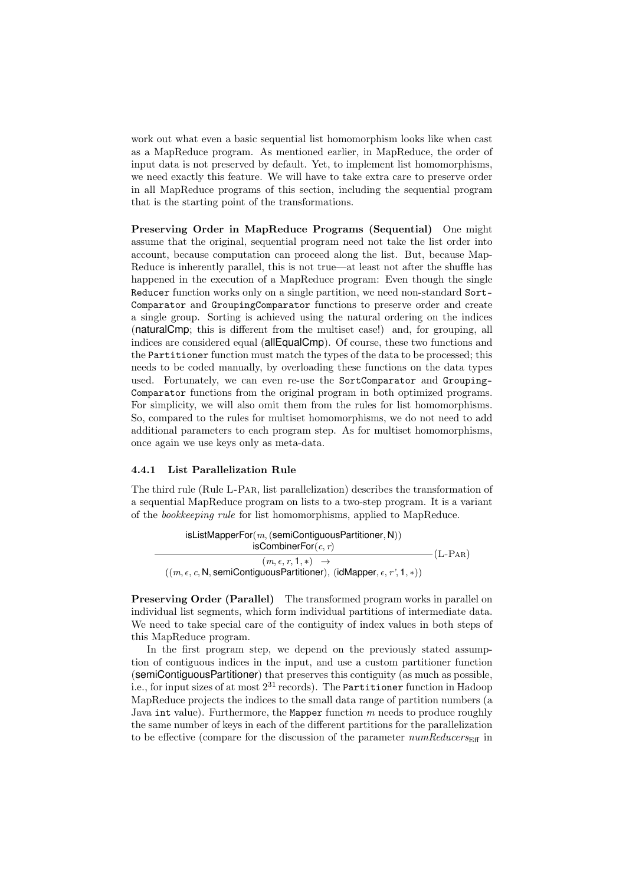work out what even a basic sequential list homomorphism looks like when cast as a MapReduce program. As mentioned earlier, in MapReduce, the order of input data is not preserved by default. Yet, to implement list homomorphisms, we need exactly this feature. We will have to take extra care to preserve order in all MapReduce programs of this section, including the sequential program that is the starting point of the transformations.

Preserving Order in MapReduce Programs (Sequential) One might assume that the original, sequential program need not take the list order into account, because computation can proceed along the list. But, because Map-Reduce is inherently parallel, this is not true—at least not after the shuffle has happened in the execution of a MapReduce program: Even though the single Reducer function works only on a single partition, we need non-standard Sort-Comparator and GroupingComparator functions to preserve order and create a single group. Sorting is achieved using the natural ordering on the indices (naturalCmp; this is different from the multiset case!) and, for grouping, all indices are considered equal (all**EqualCmp**). Of course, these two functions and the Partitioner function must match the types of the data to be processed; this needs to be coded manually, by overloading these functions on the data types used. Fortunately, we can even re-use the SortComparator and Grouping-Comparator functions from the original program in both optimized programs. For simplicity, we will also omit them from the rules for list homomorphisms. So, compared to the rules for multiset homomorphisms, we do not need to add additional parameters to each program step. As for multiset homomorphisms, once again we use keys only as meta-data.

#### 4.4.1 List Parallelization Rule

The third rule (Rule L-Par, list parallelization) describes the transformation of a sequential MapReduce program on lists to a two-step program. It is a variant of the bookkeeping rule for list homomorphisms, applied to MapReduce.

| isListMapperFor( $m$ , (semiContiguousPartitioner, N))                                                                    |            |
|---------------------------------------------------------------------------------------------------------------------------|------------|
| isCombinerFor $(c, r)$                                                                                                    |            |
| $(m, \epsilon, r, 1, *) \rightarrow$<br>$((m, \epsilon, c, N, semiContiquous Partitioner), (idMapper, \epsilon, r, 1, *)$ | $-(L-PAR)$ |

Preserving Order (Parallel) The transformed program works in parallel on individual list segments, which form individual partitions of intermediate data. We need to take special care of the contiguity of index values in both steps of this MapReduce program.

In the first program step, we depend on the previously stated assumption of contiguous indices in the input, and use a custom partitioner function (semiContiguousPartitioner) that preserves this contiguity (as much as possible, i.e., for input sizes of at most  $2^{31}$  records). The Partitioner function in Hadoop MapReduce projects the indices to the small data range of partition numbers (a Java int value). Furthermore, the Mapper function  $m$  needs to produce roughly the same number of keys in each of the different partitions for the parallelization to be effective (compare for the discussion of the parameter  $numReducers_{EF}$  in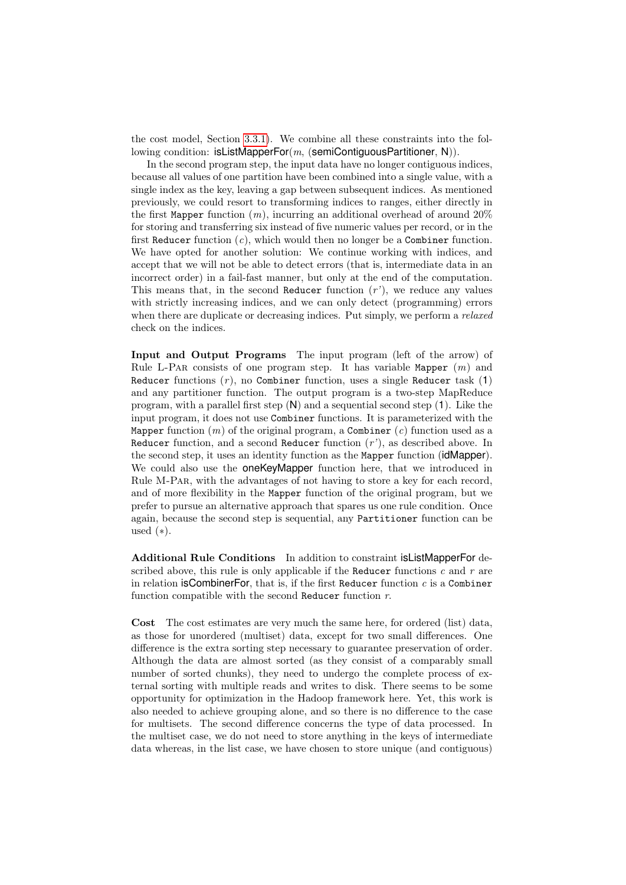the cost model, Section [3.3.1\)](#page-14-0). We combine all these constraints into the following condition: isListMapperFor $(m,$  (semiContiguousPartitioner, N)).

In the second program step, the input data have no longer contiguous indices, because all values of one partition have been combined into a single value, with a single index as the key, leaving a gap between subsequent indices. As mentioned previously, we could resort to transforming indices to ranges, either directly in the first Mapper function  $(m)$ , incurring an additional overhead of around  $20\%$ for storing and transferring six instead of five numeric values per record, or in the first Reducer function  $(c)$ , which would then no longer be a Combiner function. We have opted for another solution: We continue working with indices, and accept that we will not be able to detect errors (that is, intermediate data in an incorrect order) in a fail-fast manner, but only at the end of the computation. This means that, in the second Reducer function  $(r')$ , we reduce any values with strictly increasing indices, and we can only detect (programming) errors when there are duplicate or decreasing indices. Put simply, we perform a *relaxed* check on the indices.

Input and Output Programs The input program (left of the arrow) of Rule L-Par consists of one program step. It has variable Mapper  $(m)$  and Reducer functions  $(r)$ , no Combiner function, uses a single Reducer task  $(1)$ and any partitioner function. The output program is a two-step MapReduce program, with a parallel first step  $(N)$  and a sequential second step  $(1)$ . Like the input program, it does not use Combiner functions. It is parameterized with the Mapper function  $(m)$  of the original program, a Combiner  $(c)$  function used as a Reducer function, and a second Reducer function  $(r')$ , as described above. In the second step, it uses an identity function as the Mapper function (idMapper). We could also use the **oneKeyMapper** function here, that we introduced in Rule M-Par, with the advantages of not having to store a key for each record, and of more flexibility in the Mapper function of the original program, but we prefer to pursue an alternative approach that spares us one rule condition. Once again, because the second step is sequential, any Partitioner function can be used  $(*)$ .

Additional Rule Conditions In addition to constraint isListMapperFor described above, this rule is only applicable if the Reducer functions  $c$  and  $r$  are in relation **isCombinerFor**, that is, if the first Reducer function  $c$  is a Combiner function compatible with the second Reducer function  $r$ .

Cost The cost estimates are very much the same here, for ordered (list) data, as those for unordered (multiset) data, except for two small differences. One difference is the extra sorting step necessary to guarantee preservation of order. Although the data are almost sorted (as they consist of a comparably small number of sorted chunks), they need to undergo the complete process of external sorting with multiple reads and writes to disk. There seems to be some opportunity for optimization in the Hadoop framework here. Yet, this work is also needed to achieve grouping alone, and so there is no difference to the case for multisets. The second difference concerns the type of data processed. In the multiset case, we do not need to store anything in the keys of intermediate data whereas, in the list case, we have chosen to store unique (and contiguous)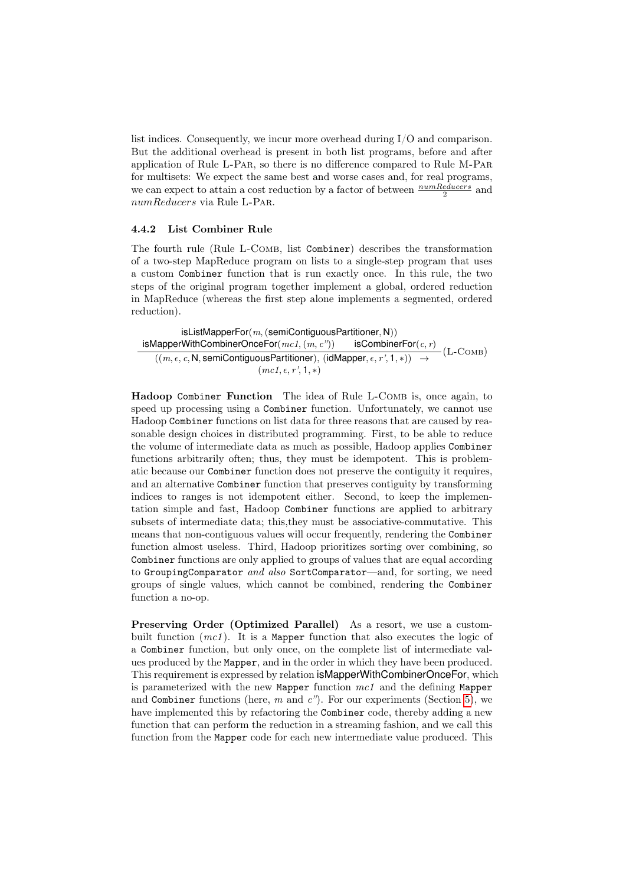list indices. Consequently, we incur more overhead during I/O and comparison. But the additional overhead is present in both list programs, before and after application of Rule L-Par, so there is no difference compared to Rule M-Par for multisets: We expect the same best and worse cases and, for real programs, we can expect to attain a cost reduction by a factor of between  $\frac{numReducers}{2}$  and numReducers via Rule L-PAR.

## 4.4.2 List Combiner Rule

The fourth rule (Rule L-Comb, list Combiner) describes the transformation of a two-step MapReduce program on lists to a single-step program that uses a custom Combiner function that is run exactly once. In this rule, the two steps of the original program together implement a global, ordered reduction in MapReduce (whereas the first step alone implements a segmented, ordered reduction).

isListMapperFor( $m$ , (semiContiguousPartitioner, N)) isMapperWithCombinerOnceFor $(mc1,(m,c"))$  isCombinerFor $(c, r)$  $((m, \epsilon, c, N, semiContiguous Partitioner), (idMapper, \epsilon, r, 1, *) ) \rightarrow$  $(mc1, \epsilon, r', 1, *)$ (L-Comb)

Hadoop Combiner Function The idea of Rule L-COMB is, once again, to speed up processing using a Combiner function. Unfortunately, we cannot use Hadoop Combiner functions on list data for three reasons that are caused by reasonable design choices in distributed programming. First, to be able to reduce the volume of intermediate data as much as possible, Hadoop applies Combiner functions arbitrarily often; thus, they must be idempotent. This is problematic because our Combiner function does not preserve the contiguity it requires, and an alternative Combiner function that preserves contiguity by transforming indices to ranges is not idempotent either. Second, to keep the implementation simple and fast, Hadoop Combiner functions are applied to arbitrary subsets of intermediate data; this,they must be associative-commutative. This means that non-contiguous values will occur frequently, rendering the Combiner function almost useless. Third, Hadoop prioritizes sorting over combining, so Combiner functions are only applied to groups of values that are equal according to GroupingComparator and also SortComparator—and, for sorting, we need groups of single values, which cannot be combined, rendering the Combiner function a no-op.

Preserving Order (Optimized Parallel) As a resort, we use a custombuilt function  $(mc1)$ . It is a Mapper function that also executes the logic of a Combiner function, but only once, on the complete list of intermediate values produced by the Mapper, and in the order in which they have been produced. This requirement is expressed by relation isMapperWithCombinerOnceFor, which is parameterized with the new Mapper function  $mc1$  and the defining Mapper and Combiner functions (here,  $m$  and  $c$ "). For our experiments (Section [5\)](#page-28-0), we have implemented this by refactoring the Combiner code, thereby adding a new function that can perform the reduction in a streaming fashion, and we call this function from the Mapper code for each new intermediate value produced. This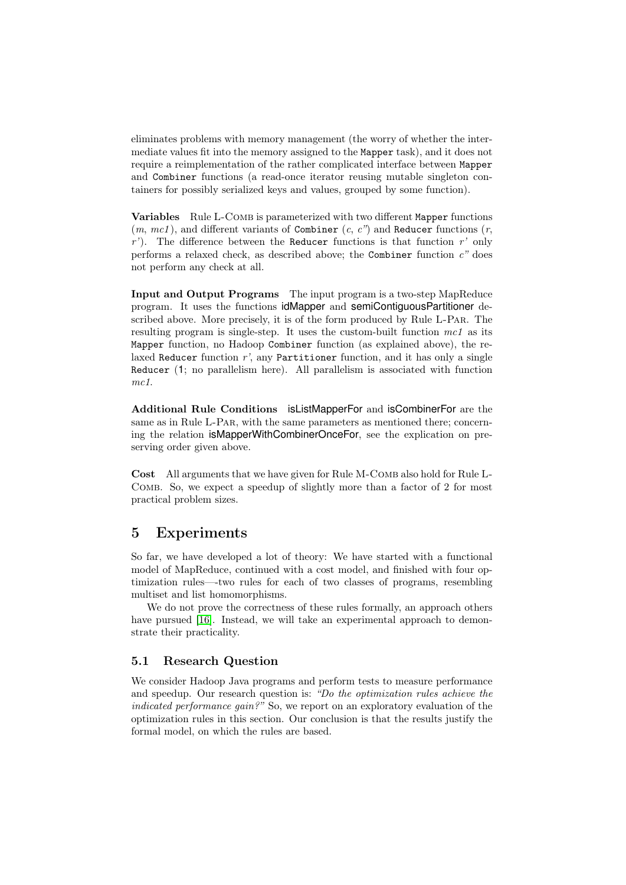<span id="page-28-1"></span>eliminates problems with memory management (the worry of whether the intermediate values fit into the memory assigned to the Mapper task), and it does not require a reimplementation of the rather complicated interface between Mapper and Combiner functions (a read-once iterator reusing mutable singleton containers for possibly serialized keys and values, grouped by some function).

Variables Rule L-COMB is parameterized with two different Mapper functions  $(m, mc1)$ , and different variants of Combiner  $(c, c<sup>n</sup>)$  and Reducer functions  $(r, c<sup>n</sup>)$ r'). The difference between the Reducer functions is that function r' only performs a relaxed check, as described above; the Combiner function  $c''$  does not perform any check at all.

Input and Output Programs The input program is a two-step MapReduce program. It uses the functions idMapper and semiContiguousPartitioner described above. More precisely, it is of the form produced by Rule L-Par. The resulting program is single-step. It uses the custom-built function  $mc1$  as its Mapper function, no Hadoop Combiner function (as explained above), the relaxed Reducer function  $r'$ , any Partitioner function, and it has only a single Reducer (1; no parallelism here). All parallelism is associated with function  $mc<sub>1</sub>$ 

Additional Rule Conditions isListMapperFor and isCombinerFor are the same as in Rule L-Par, with the same parameters as mentioned there; concerning the relation isMapperWithCombinerOnceFor, see the explication on preserving order given above.

Cost All arguments that we have given for Rule M-COMB also hold for Rule L-Comb. So, we expect a speedup of slightly more than a factor of 2 for most practical problem sizes.

# <span id="page-28-0"></span>5 Experiments

So far, we have developed a lot of theory: We have started with a functional model of MapReduce, continued with a cost model, and finished with four optimization rules—-two rules for each of two classes of programs, resembling multiset and list homomorphisms.

We do not prove the correctness of these rules formally, an approach others have pursued [\[16\]](#page-37-13). Instead, we will take an experimental approach to demonstrate their practicality.

# 5.1 Research Question

We consider Hadoop Java programs and perform tests to measure performance and speedup. Our research question is: "Do the optimization rules achieve the indicated performance gain?" So, we report on an exploratory evaluation of the optimization rules in this section. Our conclusion is that the results justify the formal model, on which the rules are based.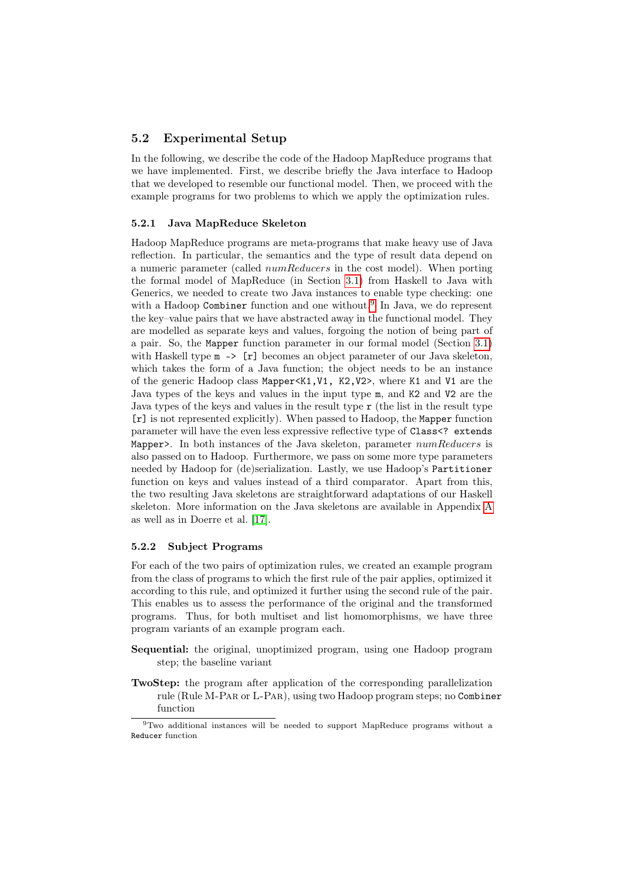# <span id="page-29-1"></span>5.2 Experimental Setup

In the following, we describe the code of the Hadoop MapReduce programs that we have implemented. First, we describe briefly the Java interface to Hadoop that we developed to resemble our functional model. Then, we proceed with the example programs for two problems to which we apply the optimization rules.

## 5.2.1 Java MapReduce Skeleton

Hadoop MapReduce programs are meta-programs that make heavy use of Java reflection. In particular, the semantics and the type of result data depend on a numeric parameter (called numReducers in the cost model). When porting the formal model of MapReduce (in Section [3.1\)](#page-9-1) from Haskell to Java with Generics, we needed to create two Java instances to enable type checking: one with a Hadoop Combiner function and one without.<sup>[9](#page-29-0)</sup> In Java, we do represent the key–value pairs that we have abstracted away in the functional model. They are modelled as separate keys and values, forgoing the notion of being part of a pair. So, the Mapper function parameter in our formal model (Section [3.1\)](#page-9-1) with Haskell type  $m \rightarrow [r]$  becomes an object parameter of our Java skeleton, which takes the form of a Java function; the object needs to be an instance of the generic Hadoop class Mapper<K1,V1, K2,V2>, where K1 and V1 are the Java types of the keys and values in the input type m, and K2 and V2 are the Java types of the keys and values in the result type  $r$  (the list in the result type [r] is not represented explicitly). When passed to Hadoop, the Mapper function parameter will have the even less expressive reflective type of Class<? extends Mapper>. In both instances of the Java skeleton, parameter numReducers is also passed on to Hadoop. Furthermore, we pass on some more type parameters needed by Hadoop for (de)serialization. Lastly, we use Hadoop's Partitioner function on keys and values instead of a third comparator. Apart from this, the two resulting Java skeletons are straightforward adaptations of our Haskell skeleton. More information on the Java skeletons are available in Appendix [A](#page-40-0) as well as in Doerre et al. [\[17\]](#page-37-14).

#### <span id="page-29-2"></span>5.2.2 Subject Programs

For each of the two pairs of optimization rules, we created an example program from the class of programs to which the first rule of the pair applies, optimized it according to this rule, and optimized it further using the second rule of the pair. This enables us to assess the performance of the original and the transformed programs. Thus, for both multiset and list homomorphisms, we have three program variants of an example program each.

- Sequential: the original, unoptimized program, using one Hadoop program step; the baseline variant
- TwoStep: the program after application of the corresponding parallelization rule (Rule M-Par or L-Par), using two Hadoop program steps; no Combiner function

<span id="page-29-0"></span><sup>9</sup>Two additional instances will be needed to support MapReduce programs without a Reducer function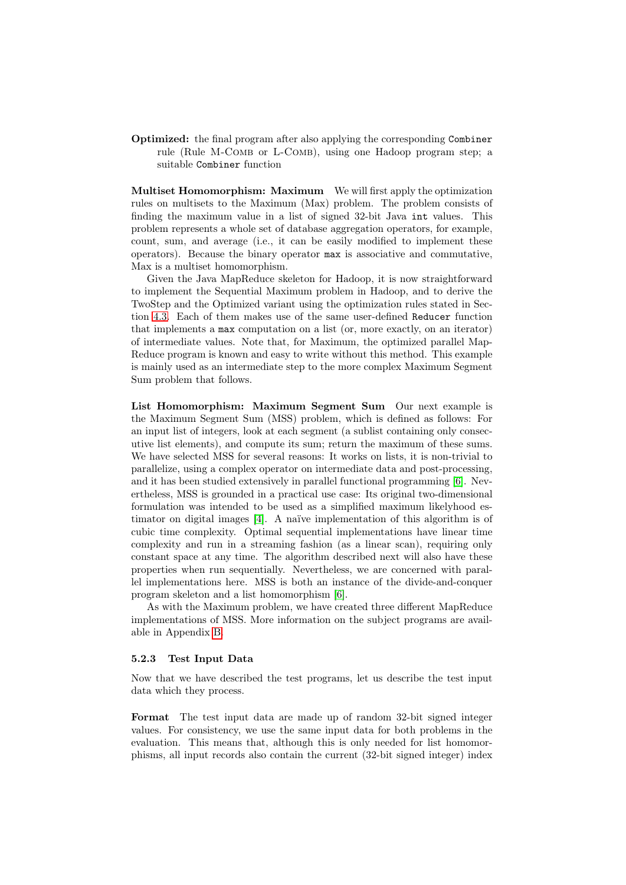<span id="page-30-1"></span>Optimized: the final program after also applying the corresponding Combiner rule (Rule M-Comb or L-Comb), using one Hadoop program step; a suitable Combiner function

Multiset Homomorphism: Maximum We will first apply the optimization rules on multisets to the Maximum (Max) problem. The problem consists of finding the maximum value in a list of signed 32-bit Java int values. This problem represents a whole set of database aggregation operators, for example, count, sum, and average (i.e., it can be easily modified to implement these operators). Because the binary operator max is associative and commutative, Max is a multiset homomorphism.

Given the Java MapReduce skeleton for Hadoop, it is now straightforward to implement the Sequential Maximum problem in Hadoop, and to derive the TwoStep and the Optimized variant using the optimization rules stated in Section [4.3.](#page-20-0) Each of them makes use of the same user-defined Reducer function that implements a max computation on a list (or, more exactly, on an iterator) of intermediate values. Note that, for Maximum, the optimized parallel Map-Reduce program is known and easy to write without this method. This example is mainly used as an intermediate step to the more complex Maximum Segment Sum problem that follows.

List Homomorphism: Maximum Segment Sum Our next example is the Maximum Segment Sum (MSS) problem, which is defined as follows: For an input list of integers, look at each segment (a sublist containing only consecutive list elements), and compute its sum; return the maximum of these sums. We have selected MSS for several reasons: It works on lists, it is non-trivial to parallelize, using a complex operator on intermediate data and post-processing, and it has been studied extensively in parallel functional programming [\[6\]](#page-37-3). Nevertheless, MSS is grounded in a practical use case: Its original two-dimensional formulation was intended to be used as a simplified maximum likelyhood estimator on digital images [\[4\]](#page-37-1). A naïve implementation of this algorithm is of cubic time complexity. Optimal sequential implementations have linear time complexity and run in a streaming fashion (as a linear scan), requiring only constant space at any time. The algorithm described next will also have these properties when run sequentially. Nevertheless, we are concerned with parallel implementations here. MSS is both an instance of the divide-and-conquer program skeleton and a list homomorphism [\[6\]](#page-37-3).

As with the Maximum problem, we have created three different MapReduce implementations of MSS. More information on the subject programs are available in Appendix [B.](#page-43-0)

#### <span id="page-30-0"></span>5.2.3 Test Input Data

Now that we have described the test programs, let us describe the test input data which they process.

Format The test input data are made up of random 32-bit signed integer values. For consistency, we use the same input data for both problems in the evaluation. This means that, although this is only needed for list homomorphisms, all input records also contain the current (32-bit signed integer) index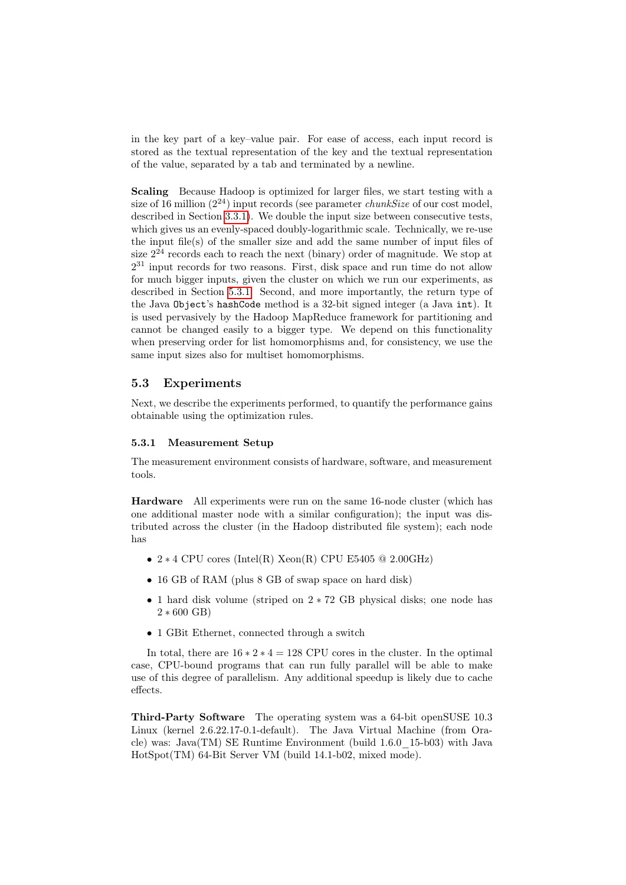in the key part of a key–value pair. For ease of access, each input record is stored as the textual representation of the key and the textual representation of the value, separated by a tab and terminated by a newline.

Scaling Because Hadoop is optimized for larger files, we start testing with a size of 16 million  $(2^{24})$  input records (see parameter *chunkSize* of our cost model, described in Section [3.3.1\)](#page-14-0). We double the input size between consecutive tests, which gives us an evenly-spaced doubly-logarithmic scale. Technically, we re-use the input file(s) of the smaller size and add the same number of input files of size  $2^{24}$  records each to reach the next (binary) order of magnitude. We stop at  $2^{31}$  input records for two reasons. First, disk space and run time do not allow for much bigger inputs, given the cluster on which we run our experiments, as described in Section [5.3.1.](#page-31-0) Second, and more importantly, the return type of the Java Object's hashCode method is a 32-bit signed integer (a Java int). It is used pervasively by the Hadoop MapReduce framework for partitioning and cannot be changed easily to a bigger type. We depend on this functionality when preserving order for list homomorphisms and, for consistency, we use the same input sizes also for multiset homomorphisms.

## 5.3 Experiments

Next, we describe the experiments performed, to quantify the performance gains obtainable using the optimization rules.

## <span id="page-31-0"></span>5.3.1 Measurement Setup

The measurement environment consists of hardware, software, and measurement tools.

Hardware All experiments were run on the same 16-node cluster (which has one additional master node with a similar configuration); the input was distributed across the cluster (in the Hadoop distributed file system); each node has

- $2 * 4$  CPU cores (Intel(R) Xeon(R) CPU E5405 @ 2.00GHz)
- 16 GB of RAM (plus 8 GB of swap space on hard disk)
- 1 hard disk volume (striped on 2 ∗ 72 GB physical disks; one node has  $2 * 600$  GB)
- 1 GBit Ethernet, connected through a switch

In total, there are  $16 * 2 * 4 = 128$  CPU cores in the cluster. In the optimal case, CPU-bound programs that can run fully parallel will be able to make use of this degree of parallelism. Any additional speedup is likely due to cache effects.

Third-Party Software The operating system was a 64-bit openSUSE 10.3 Linux (kernel 2.6.22.17-0.1-default). The Java Virtual Machine (from Oracle) was: Java(TM) SE Runtime Environment (build 1.6.0\_15-b03) with Java HotSpot(TM) 64-Bit Server VM (build 14.1-b02, mixed mode).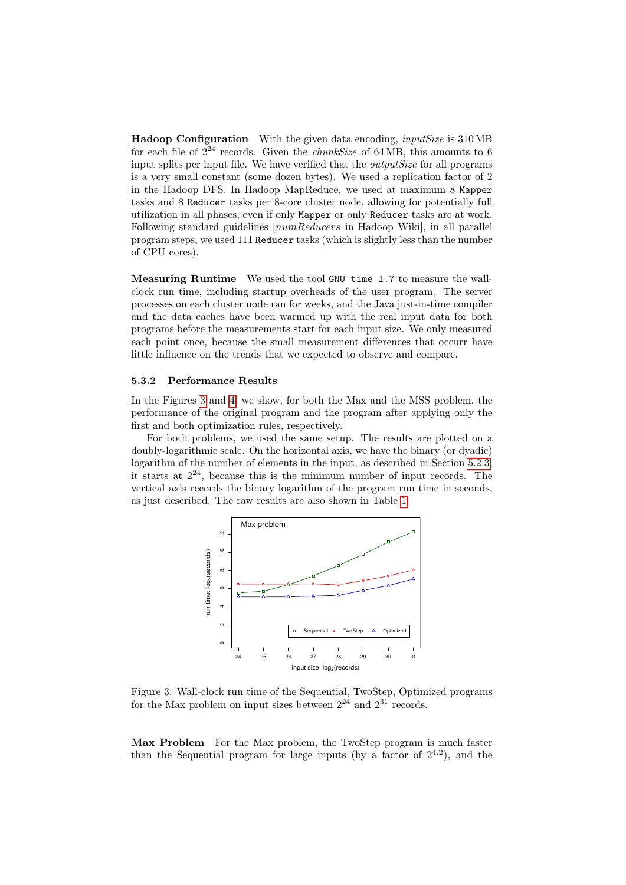Hadoop Configuration With the given data encoding, *inputSize* is 310 MB for each file of  $2^{24}$  records. Given the *chunkSize* of 64 MB, this amounts to 6 input splits per input file. We have verified that the outputSize for all programs is a very small constant (some dozen bytes). We used a replication factor of 2 in the Hadoop DFS. In Hadoop MapReduce, we used at maximum 8 Mapper tasks and 8 Reducer tasks per 8-core cluster node, allowing for potentially full utilization in all phases, even if only Mapper or only Reducer tasks are at work. Following standard guidelines [numReducers in Hadoop Wiki], in all parallel program steps, we used 111 Reducer tasks (which is slightly less than the number of CPU cores).

Measuring Runtime We used the tool GNU time 1.7 to measure the wallclock run time, including startup overheads of the user program. The server processes on each cluster node ran for weeks, and the Java just-in-time compiler and the data caches have been warmed up with the real input data for both programs before the measurements start for each input size. We only measured each point once, because the small measurement differences that occurr have little influence on the trends that we expected to observe and compare.

#### 5.3.2 Performance Results

In the Figures [3](#page-32-0) and [4,](#page-33-0) we show, for both the Max and the MSS problem, the performance of the original program and the program after applying only the first and both optimization rules, respectively.

For both problems, we used the same setup. The results are plotted on a doubly-logarithmic scale. On the horizontal axis, we have the binary (or dyadic) logarithm of the number of elements in the input, as described in Section [5.2.3;](#page-30-0) it starts at  $2^{24}$ , because this is the minimum number of input records. The vertical axis records the binary logarithm of the program run time in seconds, as just described. The raw results are also shown in Table [1.](#page-33-1)



<span id="page-32-0"></span>Figure 3: Wall-clock run time of the Sequential, TwoStep, Optimized programs for the Max problem on input sizes between  $2^{24}$  and  $2^{31}$  records.

Max Problem For the Max problem, the TwoStep program is much faster than the Sequential program for large inputs (by a factor of  $2^{4.2}$ ), and the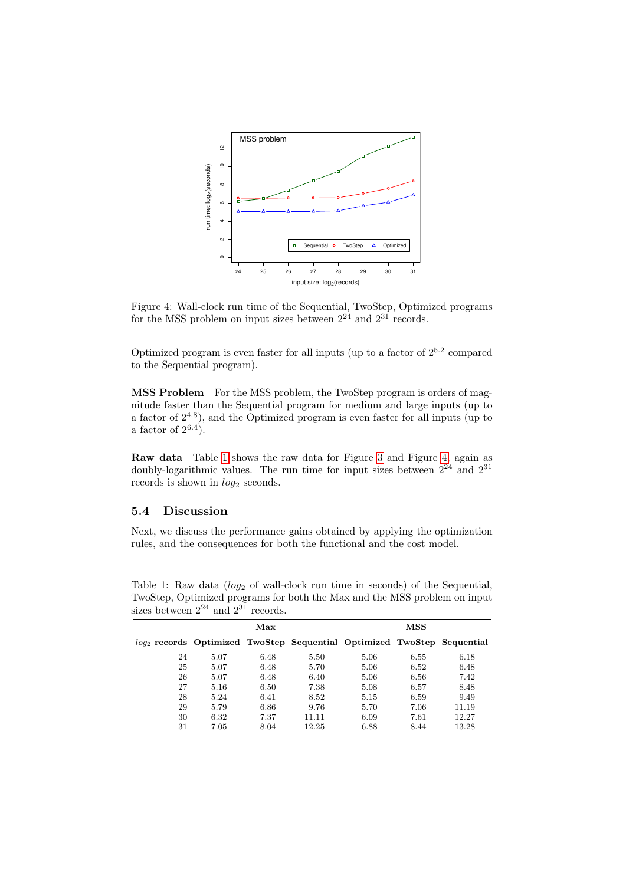

<span id="page-33-0"></span>Figure 4: Wall-clock run time of the Sequential, TwoStep, Optimized programs for the MSS problem on input sizes between  $2^{24}$  and  $2^{31}$  records.

Optimized program is even faster for all inputs (up to a factor of  $2^{5.2}$  compared to the Sequential program).

MSS Problem For the MSS problem, the TwoStep program is orders of magnitude faster than the Sequential program for medium and large inputs (up to a factor of  $2^{4.8}$ ), and the Optimized program is even faster for all inputs (up to a factor of  $2^{6.4}$ ).

Raw data Table [1](#page-33-1) shows the raw data for Figure [3](#page-32-0) and Figure [4,](#page-33-0) again as doubly-logarithmic values. The run time for input sizes between  $2^{24}$  and  $2^{31}$ records is shown in  $log_2$  seconds.

# 5.4 Discussion

Next, we discuss the performance gains obtained by applying the optimization rules, and the consequences for both the functional and the cost model.

|                                                                           | Max  |      |       | $_{\rm MSS}$ |      |       |
|---------------------------------------------------------------------------|------|------|-------|--------------|------|-------|
| $log_2$ records Optimized TwoStep Sequential Optimized TwoStep Sequential |      |      |       |              |      |       |
| 24                                                                        | 5.07 | 6.48 | 5.50  | 5.06         | 6.55 | 6.18  |
| 25                                                                        | 5.07 | 6.48 | 5.70  | 5.06         | 6.52 | 6.48  |
| 26                                                                        | 5.07 | 6.48 | 6.40  | 5.06         | 6.56 | 7.42  |
| 27                                                                        | 5.16 | 6.50 | 7.38  | 5.08         | 6.57 | 8.48  |
| 28                                                                        | 5.24 | 6.41 | 8.52  | 5.15         | 6.59 | 9.49  |
| 29                                                                        | 5.79 | 6.86 | 9.76  | 5.70         | 7.06 | 11.19 |
| 30                                                                        | 6.32 | 7.37 | 11.11 | 6.09         | 7.61 | 12.27 |
| 31                                                                        | 7.05 | 8.04 | 12.25 | 6.88         | 8.44 | 13.28 |

<span id="page-33-1"></span>Table 1: Raw data  $(log_2$  of wall-clock run time in seconds) of the Sequential, TwoStep, Optimized programs for both the Max and the MSS problem on input sizes between  $2^{24}$  and  $2^{31}$  records.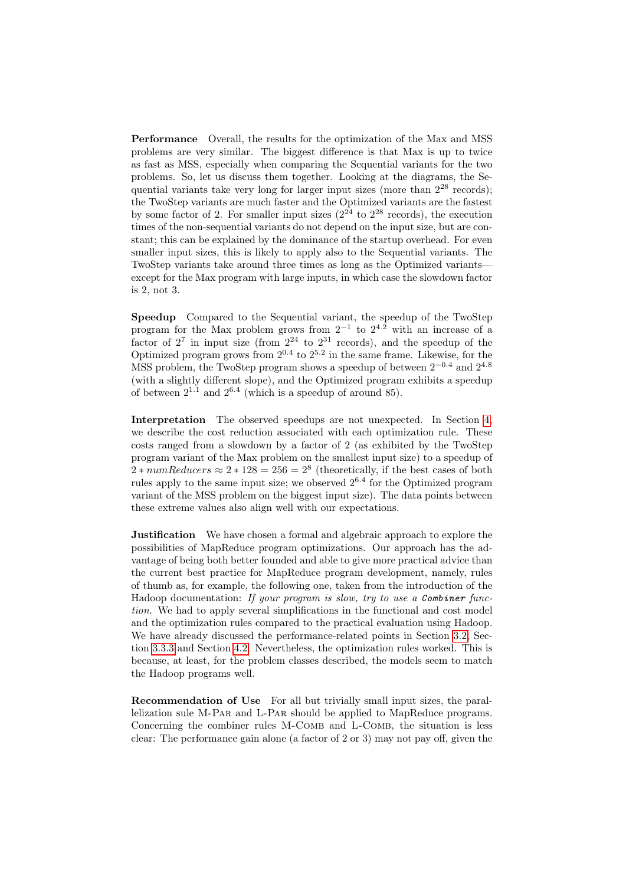Performance Overall, the results for the optimization of the Max and MSS problems are very similar. The biggest difference is that Max is up to twice as fast as MSS, especially when comparing the Sequential variants for the two problems. So, let us discuss them together. Looking at the diagrams, the Sequential variants take very long for larger input sizes (more than  $2^{28}$  records); the TwoStep variants are much faster and the Optimized variants are the fastest by some factor of 2. For smaller input sizes  $(2^{24} \text{ to } 2^{28} \text{ records})$ , the execution times of the non-sequential variants do not depend on the input size, but are constant; this can be explained by the dominance of the startup overhead. For even smaller input sizes, this is likely to apply also to the Sequential variants. The TwoStep variants take around three times as long as the Optimized variants except for the Max program with large inputs, in which case the slowdown factor is 2, not 3.

Speedup Compared to the Sequential variant, the speedup of the TwoStep program for the Max problem grows from  $2^{-1}$  to  $2^{4.2}$  with an increase of a factor of  $2^7$  in input size (from  $2^{24}$  to  $2^{31}$  records), and the speedup of the Optimized program grows from  $2^{0.4}$  to  $2^{5.2}$  in the same frame. Likewise, for the MSS problem, the TwoStep program shows a speedup of between  $2^{-0.4}$  and  $2^{4.8}$ (with a slightly different slope), and the Optimized program exhibits a speedup of between  $2^{1.1}$  and  $2^{6.4}$  (which is a speedup of around 85).

Interpretation The observed speedups are not unexpected. In Section [4,](#page-18-0) we describe the cost reduction associated with each optimization rule. These costs ranged from a slowdown by a factor of 2 (as exhibited by the TwoStep program variant of the Max problem on the smallest input size) to a speedup of  $2 * numReducers \approx 2 * 128 = 256 = 2^8$  (theoretically, if the best cases of both rules apply to the same input size; we observed  $2^{6.4}$  for the Optimized program variant of the MSS problem on the biggest input size). The data points between these extreme values also align well with our expectations.

**Justification** We have chosen a formal and algebraic approach to explore the possibilities of MapReduce program optimizations. Our approach has the advantage of being both better founded and able to give more practical advice than the current best practice for MapReduce program development, namely, rules of thumb as, for example, the following one, taken from the introduction of the Hadoop documentation: If your program is slow, try to use a Combiner function. We had to apply several simplifications in the functional and cost model and the optimization rules compared to the practical evaluation using Hadoop. We have already discussed the performance-related points in Section [3.2,](#page-12-0) Section [3.3.3](#page-17-0) and Section [4.2.](#page-19-1) Nevertheless, the optimization rules worked. This is because, at least, for the problem classes described, the models seem to match the Hadoop programs well.

Recommendation of Use For all but trivially small input sizes, the parallelization sule M-Par and L-Par should be applied to MapReduce programs. Concerning the combiner rules M-Comb and L-Comb, the situation is less clear: The performance gain alone (a factor of 2 or 3) may not pay off, given the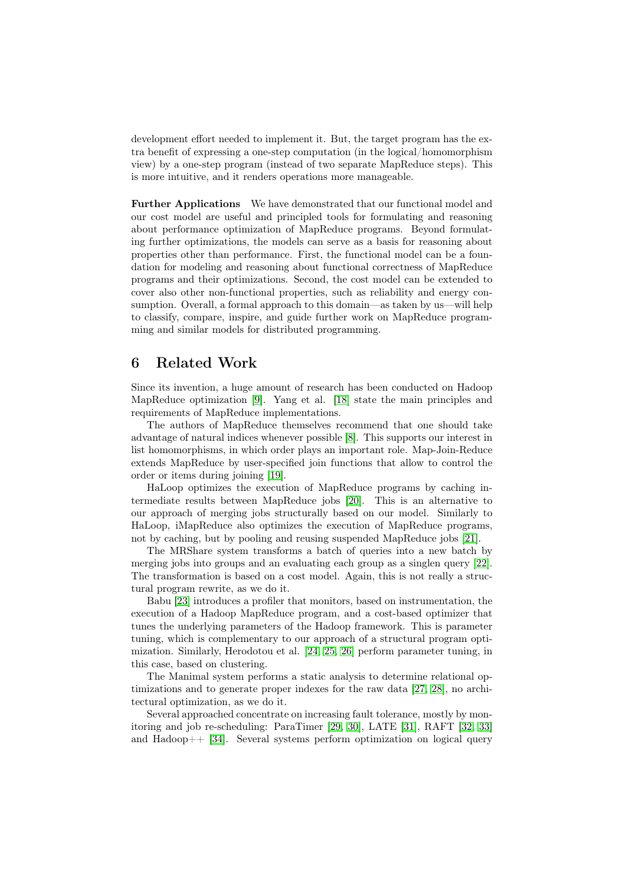<span id="page-35-0"></span>development effort needed to implement it. But, the target program has the extra benefit of expressing a one-step computation (in the logical/homomorphism view) by a one-step program (instead of two separate MapReduce steps). This is more intuitive, and it renders operations more manageable.

Further Applications We have demonstrated that our functional model and our cost model are useful and principled tools for formulating and reasoning about performance optimization of MapReduce programs. Beyond formulating further optimizations, the models can serve as a basis for reasoning about properties other than performance. First, the functional model can be a foundation for modeling and reasoning about functional correctness of MapReduce programs and their optimizations. Second, the cost model can be extended to cover also other non-functional properties, such as reliability and energy consumption. Overall, a formal approach to this domain—as taken by us—will help to classify, compare, inspire, and guide further work on MapReduce programming and similar models for distributed programming.

# 6 Related Work

Since its invention, a huge amount of research has been conducted on Hadoop MapReduce optimization [\[9\]](#page-37-6). Yang et al. [\[18\]](#page-37-15) state the main principles and requirements of MapReduce implementations.

The authors of MapReduce themselves recommend that one should take advantage of natural indices whenever possible [\[8\]](#page-37-5). This supports our interest in list homomorphisms, in which order plays an important role. Map-Join-Reduce extends MapReduce by user-specified join functions that allow to control the order or items during joining [\[19\]](#page-38-0).

HaLoop optimizes the execution of MapReduce programs by caching intermediate results between MapReduce jobs [\[20\]](#page-38-1). This is an alternative to our approach of merging jobs structurally based on our model. Similarly to HaLoop, iMapReduce also optimizes the execution of MapReduce programs, not by caching, but by pooling and reusing suspended MapReduce jobs [\[21\]](#page-38-2).

The MRShare system transforms a batch of queries into a new batch by merging jobs into groups and an evaluating each group as a singlen query [\[22\]](#page-38-3). The transformation is based on a cost model. Again, this is not really a structural program rewrite, as we do it.

Babu [\[23\]](#page-38-4) introduces a profiler that monitors, based on instrumentation, the execution of a Hadoop MapReduce program, and a cost-based optimizer that tunes the underlying parameters of the Hadoop framework. This is parameter tuning, which is complementary to our approach of a structural program optimization. Similarly, Herodotou et al. [\[24,](#page-38-5) [25,](#page-38-6) [26\]](#page-38-7) perform parameter tuning, in this case, based on clustering.

The Manimal system performs a static analysis to determine relational optimizations and to generate proper indexes for the raw data [\[27,](#page-38-8) [28\]](#page-38-9), no architectural optimization, as we do it.

Several approached concentrate on increasing fault tolerance, mostly by monitoring and job re-scheduling: ParaTimer [\[29,](#page-38-10) [30\]](#page-38-11), LATE [\[31\]](#page-38-12), RAFT [\[32,](#page-38-13) [33\]](#page-39-0) and Hadoop++ [\[34\]](#page-39-1). Several systems perform optimization on logical query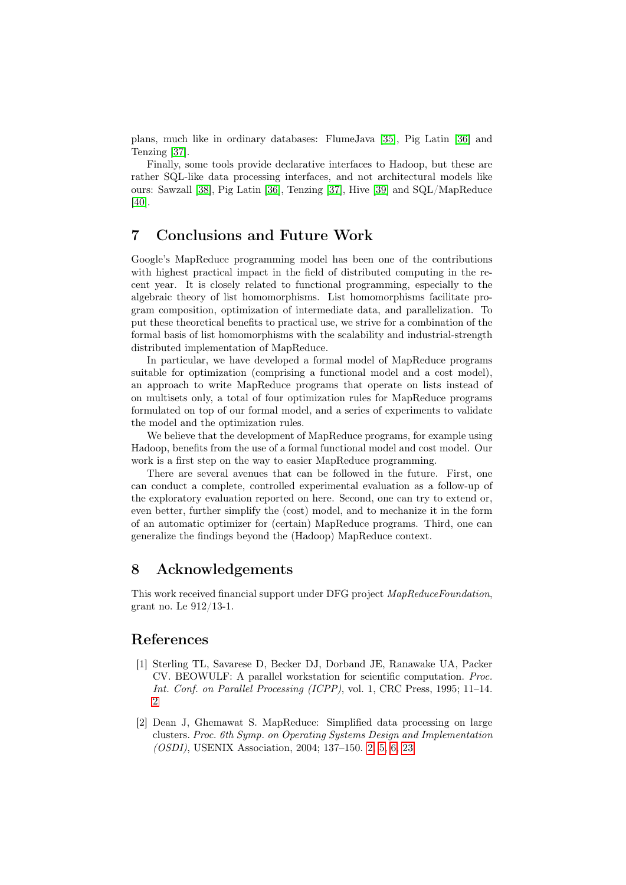<span id="page-36-3"></span>plans, much like in ordinary databases: FlumeJava [\[35\]](#page-39-2), Pig Latin [\[36\]](#page-39-3) and Tenzing [\[37\]](#page-39-4).

Finally, some tools provide declarative interfaces to Hadoop, but these are rather SQL-like data processing interfaces, and not architectural models like ours: Sawzall [\[38\]](#page-39-5), Pig Latin [\[36\]](#page-39-3), Tenzing [\[37\]](#page-39-4), Hive [\[39\]](#page-39-6) and SQL/MapReduce [\[40\]](#page-39-7).

# <span id="page-36-2"></span>7 Conclusions and Future Work

Google's MapReduce programming model has been one of the contributions with highest practical impact in the field of distributed computing in the recent year. It is closely related to functional programming, especially to the algebraic theory of list homomorphisms. List homomorphisms facilitate program composition, optimization of intermediate data, and parallelization. To put these theoretical benefits to practical use, we strive for a combination of the formal basis of list homomorphisms with the scalability and industrial-strength distributed implementation of MapReduce.

In particular, we have developed a formal model of MapReduce programs suitable for optimization (comprising a functional model and a cost model), an approach to write MapReduce programs that operate on lists instead of on multisets only, a total of four optimization rules for MapReduce programs formulated on top of our formal model, and a series of experiments to validate the model and the optimization rules.

We believe that the development of MapReduce programs, for example using Hadoop, benefits from the use of a formal functional model and cost model. Our work is a first step on the way to easier MapReduce programming.

There are several avenues that can be followed in the future. First, one can conduct a complete, controlled experimental evaluation as a follow-up of the exploratory evaluation reported on here. Second, one can try to extend or, even better, further simplify the (cost) model, and to mechanize it in the form of an automatic optimizer for (certain) MapReduce programs. Third, one can generalize the findings beyond the (Hadoop) MapReduce context.

# 8 Acknowledgements

This work received financial support under DFG project MapReduceFoundation, grant no. Le 912/13-1.

# References

- <span id="page-36-0"></span>[1] Sterling TL, Savarese D, Becker DJ, Dorband JE, Ranawake UA, Packer CV. BEOWULF: A parallel workstation for scientific computation. Proc. Int. Conf. on Parallel Processing (ICPP), vol. 1, CRC Press, 1995; 11–14. [2](#page-1-0)
- <span id="page-36-1"></span>[2] Dean J, Ghemawat S. MapReduce: Simplified data processing on large clusters. Proc. 6th Symp. on Operating Systems Design and Implementation (OSDI), USENIX Association, 2004; 137–150. [2,](#page-1-0) [5,](#page-4-1) [6,](#page-5-1) [23](#page-22-1)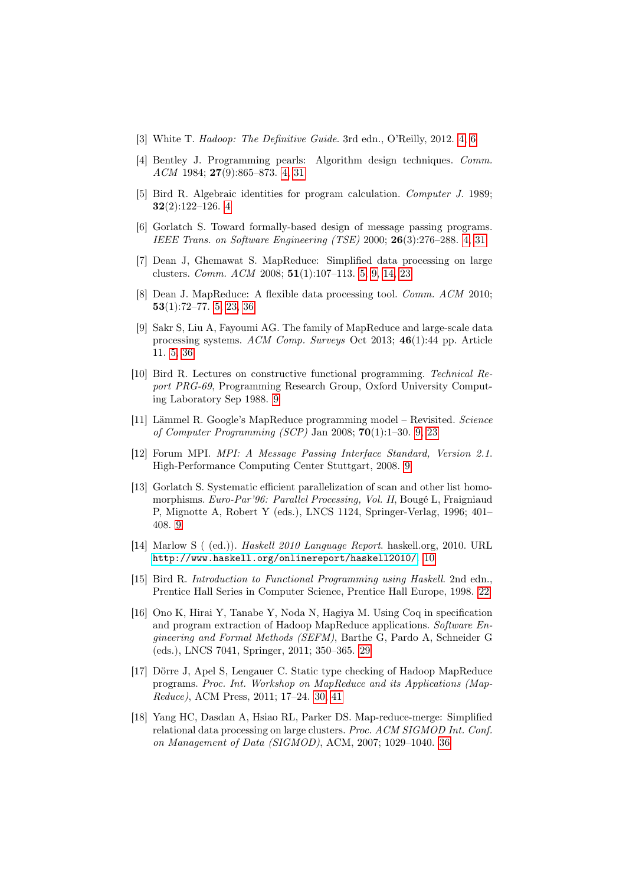- <span id="page-37-0"></span>[3] White T. Hadoop: The Definitive Guide. 3rd edn., O'Reilly, 2012. [4,](#page-3-0) [6](#page-5-1)
- <span id="page-37-1"></span>[4] Bentley J. Programming pearls: Algorithm design techniques. Comm. ACM 1984; 27(9):865–873. [4,](#page-3-0) [31](#page-30-1)
- <span id="page-37-2"></span>[5] Bird R. Algebraic identities for program calculation. Computer J. 1989;  $32(2):122-126.4$
- <span id="page-37-3"></span>[6] Gorlatch S. Toward formally-based design of message passing programs. IEEE Trans. on Software Engineering (TSE) 2000; 26(3):276–288. [4,](#page-3-0) [31](#page-30-1)
- <span id="page-37-4"></span>[7] Dean J, Ghemawat S. MapReduce: Simplified data processing on large clusters. Comm. ACM 2008; 51(1):107–113. [5,](#page-4-1) [9,](#page-8-0) [14,](#page-13-0) [23](#page-22-1)
- <span id="page-37-5"></span>[8] Dean J. MapReduce: A flexible data processing tool. Comm. ACM 2010; 53(1):72–77. [5,](#page-4-1) [23,](#page-22-1) [36](#page-35-0)
- <span id="page-37-6"></span>[9] Sakr S, Liu A, Fayoumi AG. The family of MapReduce and large-scale data processing systems. ACM Comp. Surveys Oct 2013; 46(1):44 pp. Article 11. [5,](#page-4-1) [36](#page-35-0)
- <span id="page-37-7"></span>[10] Bird R. Lectures on constructive functional programming. Technical Report PRG-69, Programming Research Group, Oxford University Computing Laboratory Sep 1988. [9](#page-8-0)
- <span id="page-37-8"></span>[11] Lämmel R. Google's MapReduce programming model – Revisited. Science of Computer Programming (SCP) Jan 2008;  $70(1):1-30.9, 23$  $70(1):1-30.9, 23$
- <span id="page-37-9"></span>[12] Forum MPI. MPI: A Message Passing Interface Standard, Version 2.1. High-Performance Computing Center Stuttgart, 2008. [9](#page-8-0)
- <span id="page-37-10"></span>[13] Gorlatch S. Systematic efficient parallelization of scan and other list homomorphisms. Euro-Par'96: Parallel Processing, Vol. II, Bougé L, Fraigniaud P, Mignotte A, Robert Y (eds.), LNCS 1124, Springer-Verlag, 1996; 401– 408. [9](#page-8-0)
- <span id="page-37-11"></span>[14] Marlow S ( (ed.)). Haskell 2010 Language Report. haskell.org, 2010. URL <http://www.haskell.org/onlinereport/haskell2010/>. [10](#page-9-2)
- <span id="page-37-12"></span>[15] Bird R. Introduction to Functional Programming using Haskell. 2nd edn., Prentice Hall Series in Computer Science, Prentice Hall Europe, 1998. [22](#page-21-1)
- <span id="page-37-13"></span>[16] Ono K, Hirai Y, Tanabe Y, Noda N, Hagiya M. Using Coq in specification and program extraction of Hadoop MapReduce applications. Software Engineering and Formal Methods (SEFM), Barthe G, Pardo A, Schneider G (eds.), LNCS 7041, Springer, 2011; 350–365. [29](#page-28-1)
- <span id="page-37-14"></span>[17] Dörre J, Apel S, Lengauer C. Static type checking of Hadoop MapReduce programs. Proc. Int. Workshop on MapReduce and its Applications (Map-Reduce), ACM Press, 2011; 17–24. [30,](#page-29-1) [41](#page-40-1)
- <span id="page-37-15"></span>[18] Yang HC, Dasdan A, Hsiao RL, Parker DS. Map-reduce-merge: Simplified relational data processing on large clusters. Proc. ACM SIGMOD Int. Conf. on Management of Data (SIGMOD), ACM, 2007; 1029–1040. [36](#page-35-0)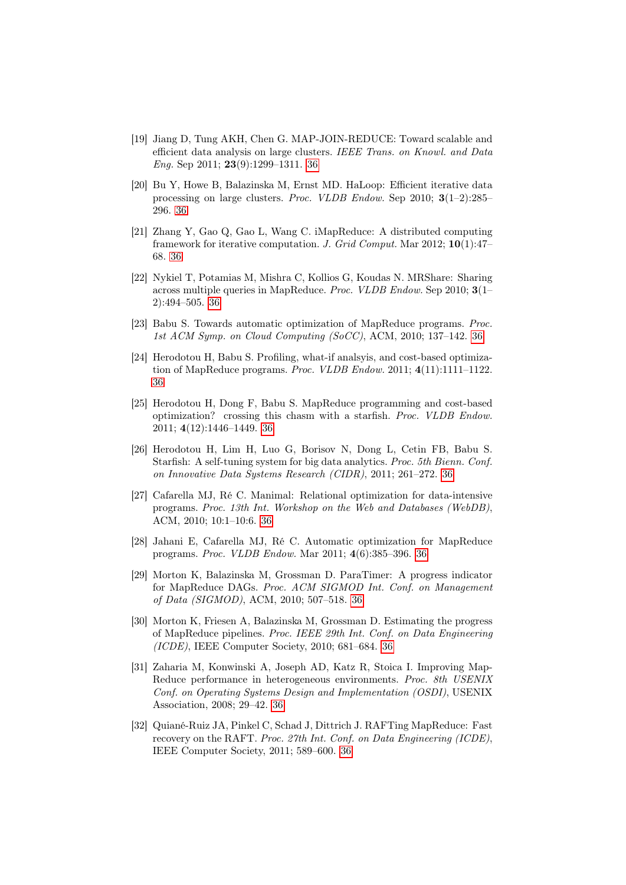- <span id="page-38-0"></span>[19] Jiang D, Tung AKH, Chen G. MAP-JOIN-REDUCE: Toward scalable and efficient data analysis on large clusters. IEEE Trans. on Knowl. and Data Eng. Sep 2011; 23(9):1299–1311. [36](#page-35-0)
- <span id="page-38-1"></span>[20] Bu Y, Howe B, Balazinska M, Ernst MD. HaLoop: Efficient iterative data processing on large clusters. Proc. VLDB Endow. Sep 2010; 3(1–2):285– 296. [36](#page-35-0)
- <span id="page-38-2"></span>[21] Zhang Y, Gao Q, Gao L, Wang C. iMapReduce: A distributed computing framework for iterative computation. J. Grid Comput. Mar 2012; 10(1):47– 68. [36](#page-35-0)
- <span id="page-38-3"></span>[22] Nykiel T, Potamias M, Mishra C, Kollios G, Koudas N. MRShare: Sharing across multiple queries in MapReduce. Proc. VLDB Endow. Sep 2010; 3(1– 2):494–505. [36](#page-35-0)
- <span id="page-38-4"></span>[23] Babu S. Towards automatic optimization of MapReduce programs. Proc. 1st ACM Symp. on Cloud Computing (SoCC), ACM, 2010; 137–142. [36](#page-35-0)
- <span id="page-38-5"></span>[24] Herodotou H, Babu S. Profiling, what-if analsyis, and cost-based optimization of MapReduce programs. Proc. VLDB Endow. 2011; 4(11):1111–1122. [36](#page-35-0)
- <span id="page-38-6"></span>[25] Herodotou H, Dong F, Babu S. MapReduce programming and cost-based optimization? crossing this chasm with a starfish. Proc. VLDB Endow. 2011; 4(12):1446–1449. [36](#page-35-0)
- <span id="page-38-7"></span>[26] Herodotou H, Lim H, Luo G, Borisov N, Dong L, Cetin FB, Babu S. Starfish: A self-tuning system for big data analytics. Proc. 5th Bienn. Conf. on Innovative Data Systems Research (CIDR), 2011; 261–272. [36](#page-35-0)
- <span id="page-38-8"></span>[27] Cafarella MJ, Ré C. Manimal: Relational optimization for data-intensive programs. Proc. 13th Int. Workshop on the Web and Databases (WebDB), ACM, 2010; 10:1–10:6. [36](#page-35-0)
- <span id="page-38-9"></span>[28] Jahani E, Cafarella MJ, Ré C. Automatic optimization for MapReduce programs. Proc. VLDB Endow. Mar 2011; 4(6):385–396. [36](#page-35-0)
- <span id="page-38-10"></span>[29] Morton K, Balazinska M, Grossman D. ParaTimer: A progress indicator for MapReduce DAGs. Proc. ACM SIGMOD Int. Conf. on Management of Data (SIGMOD), ACM, 2010; 507–518. [36](#page-35-0)
- <span id="page-38-11"></span>[30] Morton K, Friesen A, Balazinska M, Grossman D. Estimating the progress of MapReduce pipelines. Proc. IEEE 29th Int. Conf. on Data Engineering (ICDE), IEEE Computer Society, 2010; 681–684. [36](#page-35-0)
- <span id="page-38-12"></span>[31] Zaharia M, Konwinski A, Joseph AD, Katz R, Stoica I. Improving Map-Reduce performance in heterogeneous environments. Proc. 8th USENIX Conf. on Operating Systems Design and Implementation (OSDI), USENIX Association, 2008; 29–42. [36](#page-35-0)
- <span id="page-38-13"></span>[32] Quiané-Ruiz JA, Pinkel C, Schad J, Dittrich J. RAFTing MapReduce: Fast recovery on the RAFT. Proc. 27th Int. Conf. on Data Engineering (ICDE), IEEE Computer Society, 2011; 589–600. [36](#page-35-0)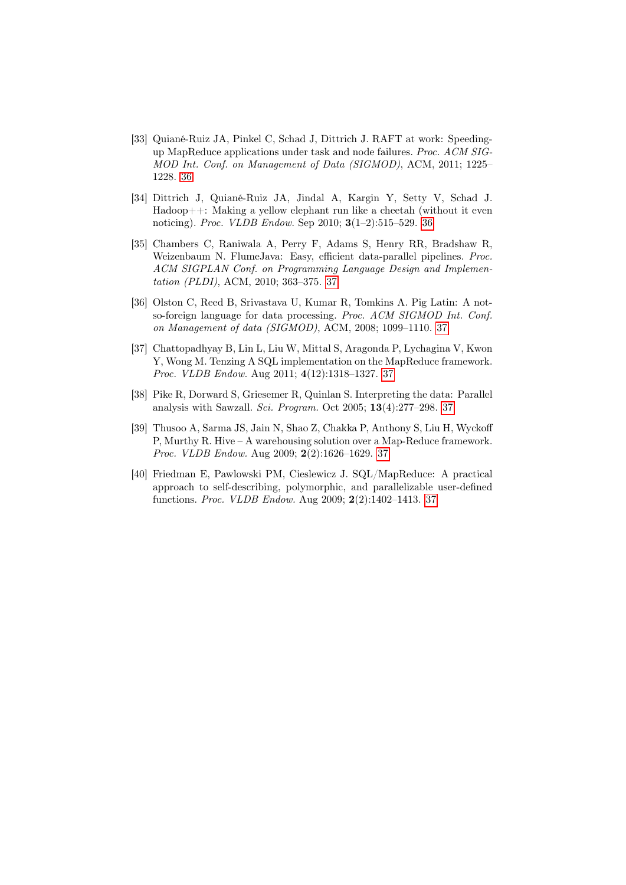- <span id="page-39-0"></span>[33] Quiané-Ruiz JA, Pinkel C, Schad J, Dittrich J. RAFT at work: Speedingup MapReduce applications under task and node failures. Proc. ACM SIG-MOD Int. Conf. on Management of Data (SIGMOD), ACM, 2011; 1225– 1228. [36](#page-35-0)
- <span id="page-39-1"></span>[34] Dittrich J, Quiané-Ruiz JA, Jindal A, Kargin Y, Setty V, Schad J. Hadoop++: Making a yellow elephant run like a cheetah (without it even noticing). Proc. VLDB Endow. Sep 2010; 3(1–2):515–529. [36](#page-35-0)
- <span id="page-39-2"></span>[35] Chambers C, Raniwala A, Perry F, Adams S, Henry RR, Bradshaw R, Weizenbaum N. FlumeJava: Easy, efficient data-parallel pipelines. Proc. ACM SIGPLAN Conf. on Programming Language Design and Implementation (PLDI), ACM, 2010; 363–375. [37](#page-36-3)
- <span id="page-39-3"></span>[36] Olston C, Reed B, Srivastava U, Kumar R, Tomkins A. Pig Latin: A notso-foreign language for data processing. Proc. ACM SIGMOD Int. Conf. on Management of data (SIGMOD), ACM, 2008; 1099–1110. [37](#page-36-3)
- <span id="page-39-4"></span>[37] Chattopadhyay B, Lin L, Liu W, Mittal S, Aragonda P, Lychagina V, Kwon Y, Wong M. Tenzing A SQL implementation on the MapReduce framework. Proc. VLDB Endow. Aug 2011; 4(12):1318–1327. [37](#page-36-3)
- <span id="page-39-5"></span>[38] Pike R, Dorward S, Griesemer R, Quinlan S. Interpreting the data: Parallel analysis with Sawzall. Sci. Program. Oct 2005; 13(4):277–298. [37](#page-36-3)
- <span id="page-39-6"></span>[39] Thusoo A, Sarma JS, Jain N, Shao Z, Chakka P, Anthony S, Liu H, Wyckoff P, Murthy R. Hive – A warehousing solution over a Map-Reduce framework. Proc. VLDB Endow. Aug 2009; 2(2):1626–1629. [37](#page-36-3)
- <span id="page-39-7"></span>[40] Friedman E, Pawlowski PM, Cieslewicz J. SQL/MapReduce: A practical approach to self-describing, polymorphic, and parallelizable user-defined functions. Proc. VLDB Endow. Aug 2009; 2(2):1402–1413. [37](#page-36-3)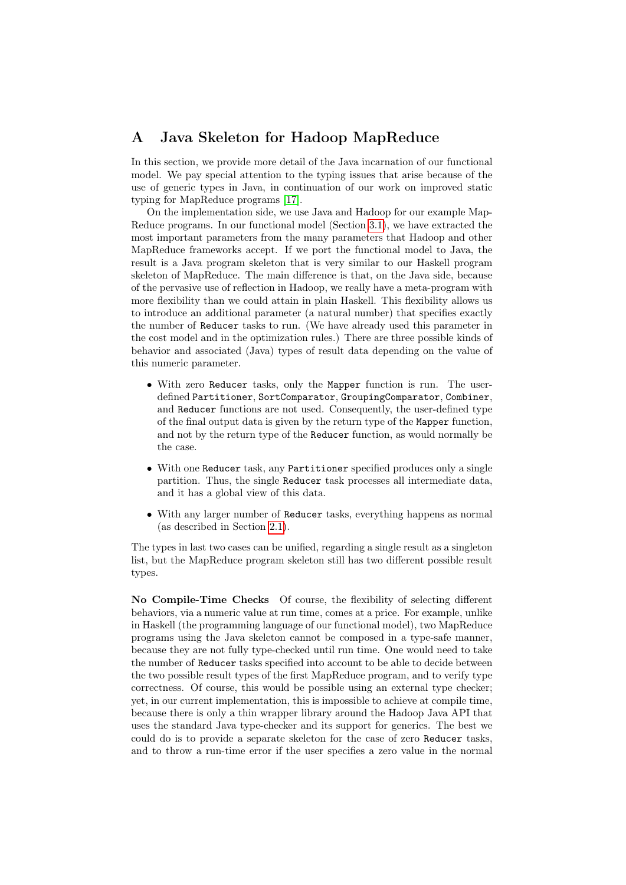# <span id="page-40-1"></span><span id="page-40-0"></span>A Java Skeleton for Hadoop MapReduce

In this section, we provide more detail of the Java incarnation of our functional model. We pay special attention to the typing issues that arise because of the use of generic types in Java, in continuation of our work on improved static typing for MapReduce programs [\[17\]](#page-37-14).

On the implementation side, we use Java and Hadoop for our example Map-Reduce programs. In our functional model (Section [3.1\)](#page-9-1), we have extracted the most important parameters from the many parameters that Hadoop and other MapReduce frameworks accept. If we port the functional model to Java, the result is a Java program skeleton that is very similar to our Haskell program skeleton of MapReduce. The main difference is that, on the Java side, because of the pervasive use of reflection in Hadoop, we really have a meta-program with more flexibility than we could attain in plain Haskell. This flexibility allows us to introduce an additional parameter (a natural number) that specifies exactly the number of Reducer tasks to run. (We have already used this parameter in the cost model and in the optimization rules.) There are three possible kinds of behavior and associated (Java) types of result data depending on the value of this numeric parameter.

- With zero Reducer tasks, only the Mapper function is run. The userdefined Partitioner, SortComparator, GroupingComparator, Combiner, and Reducer functions are not used. Consequently, the user-defined type of the final output data is given by the return type of the Mapper function, and not by the return type of the Reducer function, as would normally be the case.
- With one Reducer task, any Partitioner specified produces only a single partition. Thus, the single Reducer task processes all intermediate data, and it has a global view of this data.
- With any larger number of Reducer tasks, everything happens as normal (as described in Section [2.1\)](#page-4-2).

The types in last two cases can be unified, regarding a single result as a singleton list, but the MapReduce program skeleton still has two different possible result types.

No Compile-Time Checks Of course, the flexibility of selecting different behaviors, via a numeric value at run time, comes at a price. For example, unlike in Haskell (the programming language of our functional model), two MapReduce programs using the Java skeleton cannot be composed in a type-safe manner, because they are not fully type-checked until run time. One would need to take the number of Reducer tasks specified into account to be able to decide between the two possible result types of the first MapReduce program, and to verify type correctness. Of course, this would be possible using an external type checker; yet, in our current implementation, this is impossible to achieve at compile time, because there is only a thin wrapper library around the Hadoop Java API that uses the standard Java type-checker and its support for generics. The best we could do is to provide a separate skeleton for the case of zero Reducer tasks, and to throw a run-time error if the user specifies a zero value in the normal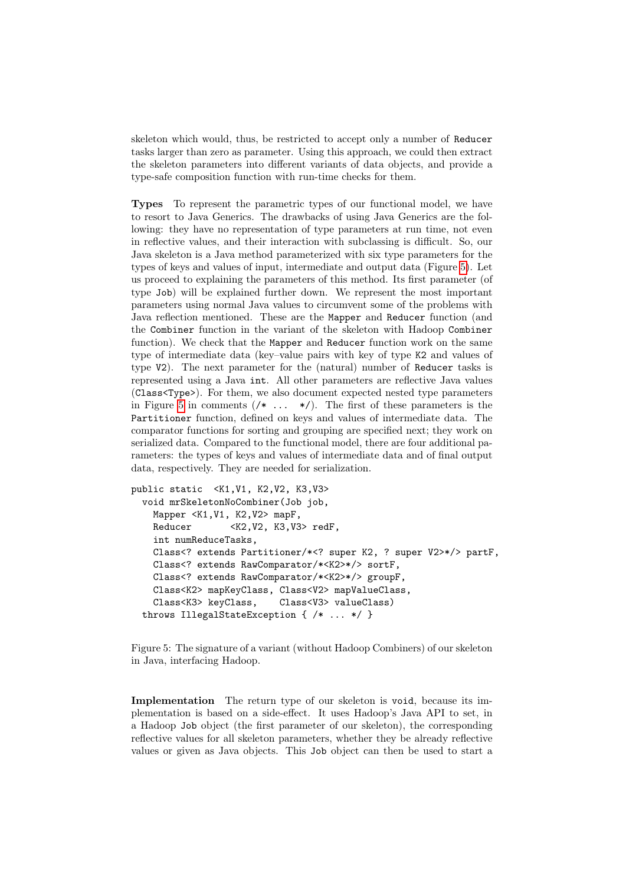skeleton which would, thus, be restricted to accept only a number of Reducer tasks larger than zero as parameter. Using this approach, we could then extract the skeleton parameters into different variants of data objects, and provide a type-safe composition function with run-time checks for them.

Types To represent the parametric types of our functional model, we have to resort to Java Generics. The drawbacks of using Java Generics are the following: they have no representation of type parameters at run time, not even in reflective values, and their interaction with subclassing is difficult. So, our Java skeleton is a Java method parameterized with six type parameters for the types of keys and values of input, intermediate and output data (Figure [5\)](#page-41-0). Let us proceed to explaining the parameters of this method. Its first parameter (of type Job) will be explained further down. We represent the most important parameters using normal Java values to circumvent some of the problems with Java reflection mentioned. These are the Mapper and Reducer function (and the Combiner function in the variant of the skeleton with Hadoop Combiner function). We check that the Mapper and Reducer function work on the same type of intermediate data (key–value pairs with key of type K2 and values of type V2). The next parameter for the (natural) number of Reducer tasks is represented using a Java int. All other parameters are reflective Java values (Class<Type>). For them, we also document expected nested type parameters in Figure [5](#page-41-0) in comments  $(\prime * \ldots * \prime)$ . The first of these parameters is the Partitioner function, defined on keys and values of intermediate data. The comparator functions for sorting and grouping are specified next; they work on serialized data. Compared to the functional model, there are four additional parameters: the types of keys and values of intermediate data and of final output data, respectively. They are needed for serialization.

```
public static <K1,V1, K2,V2, K3,V3>
  void mrSkeletonNoCombiner(Job job,
   Mapper <K1,V1, K2,V2> mapF,
   Reducer <K2, V2, K3, V3> redF,
    int numReduceTasks,
   Class<? extends Partitioner/*<? super K2, ? super V2>*/> partF,
   Class<? extends RawComparator/*<K2>*/> sortF,
   Class<? extends RawComparator/*<K2>*/> groupF,
   Class<K2> mapKeyClass, Class<V2> mapValueClass,
   Class<K3> keyClass, Class<V3> valueClass)
  throws IllegalStateException { /* ... */ }
```
<span id="page-41-0"></span>Figure 5: The signature of a variant (without Hadoop Combiners) of our skeleton in Java, interfacing Hadoop.

Implementation The return type of our skeleton is void, because its implementation is based on a side-effect. It uses Hadoop's Java API to set, in a Hadoop Job object (the first parameter of our skeleton), the corresponding reflective values for all skeleton parameters, whether they be already reflective values or given as Java objects. This Job object can then be used to start a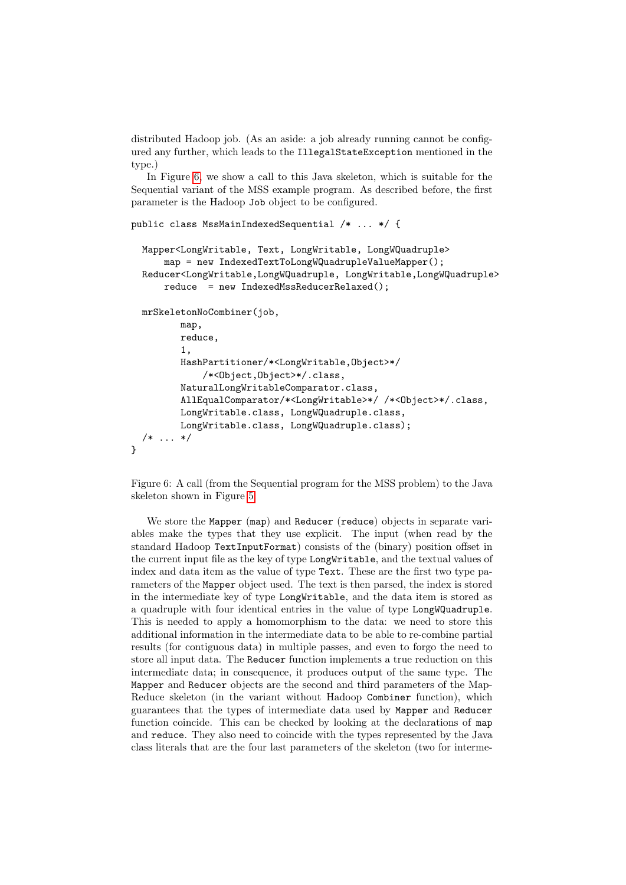distributed Hadoop job. (As an aside: a job already running cannot be configured any further, which leads to the IllegalStateException mentioned in the type.)

In Figure [6,](#page-42-0) we show a call to this Java skeleton, which is suitable for the Sequential variant of the MSS example program. As described before, the first parameter is the Hadoop Job object to be configured.

```
public class MssMainIndexedSequential /* ... */ {
```

```
Mapper<LongWritable, Text, LongWritable, LongWQuadruple>
     map = new IndexedTextToLongWQuadrupleValueMapper();
  Reducer<LongWritable,LongWQuadruple, LongWritable,LongWQuadruple>
     reduce = new IndexedMssReducerRelaxed();
  mrSkeletonNoCombiner(job,
        map,
        reduce,
         1,
        HashPartitioner/*<LongWritable,Object>*/
             /*<Object,Object>*/.class,
        NaturalLongWritableComparator.class,
         AllEqualComparator/*<LongWritable>*/ /*<Object>*/.class,
        LongWritable.class, LongWQuadruple.class,
        LongWritable.class, LongWQuadruple.class);
  /* ... */
}
```
<span id="page-42-0"></span>Figure 6: A call (from the Sequential program for the MSS problem) to the Java skeleton shown in Figure [5.](#page-41-0)

We store the Mapper (map) and Reducer (reduce) objects in separate variables make the types that they use explicit. The input (when read by the standard Hadoop TextInputFormat) consists of the (binary) position offset in the current input file as the key of type LongWritable, and the textual values of index and data item as the value of type Text. These are the first two type parameters of the Mapper object used. The text is then parsed, the index is stored in the intermediate key of type LongWritable, and the data item is stored as a quadruple with four identical entries in the value of type LongWQuadruple. This is needed to apply a homomorphism to the data: we need to store this additional information in the intermediate data to be able to re-combine partial results (for contiguous data) in multiple passes, and even to forgo the need to store all input data. The Reducer function implements a true reduction on this intermediate data; in consequence, it produces output of the same type. The Mapper and Reducer objects are the second and third parameters of the Map-Reduce skeleton (in the variant without Hadoop Combiner function), which guarantees that the types of intermediate data used by Mapper and Reducer function coincide. This can be checked by looking at the declarations of map and reduce. They also need to coincide with the types represented by the Java class literals that are the four last parameters of the skeleton (two for interme-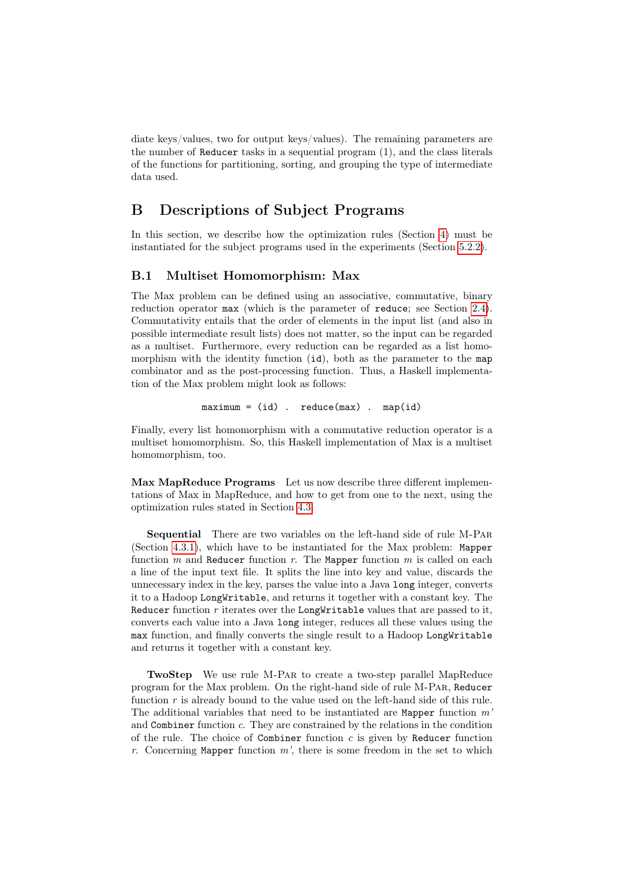diate keys/values, two for output keys/values). The remaining parameters are the number of Reducer tasks in a sequential program (1), and the class literals of the functions for partitioning, sorting, and grouping the type of intermediate data used.

# <span id="page-43-0"></span>B Descriptions of Subject Programs

In this section, we describe how the optimization rules (Section [4\)](#page-18-0) must be instantiated for the subject programs used in the experiments (Section [5.2.2\)](#page-29-2).

# B.1 Multiset Homomorphism: Max

The Max problem can be defined using an associative, commutative, binary reduction operator max (which is the parameter of reduce; see Section [2.4\)](#page-7-1). Commutativity entails that the order of elements in the input list (and also in possible intermediate result lists) does not matter, so the input can be regarded as a multiset. Furthermore, every reduction can be regarded as a list homomorphism with the identity function (id), both as the parameter to the map combinator and as the post-processing function. Thus, a Haskell implementation of the Max problem might look as follows:

 $maximum = (id)$ .  $reduce(max)$ .  $map(id)$ 

Finally, every list homomorphism with a commutative reduction operator is a multiset homomorphism. So, this Haskell implementation of Max is a multiset homomorphism, too.

Max MapReduce Programs Let us now describe three different implementations of Max in MapReduce, and how to get from one to the next, using the optimization rules stated in Section [4.3.](#page-20-0)

Sequential There are two variables on the left-hand side of rule M-Par (Section [4.3.1\)](#page-21-2), which have to be instantiated for the Max problem: Mapper function  $m$  and Reducer function  $r$ . The Mapper function  $m$  is called on each a line of the input text file. It splits the line into key and value, discards the unnecessary index in the key, parses the value into a Java long integer, converts it to a Hadoop LongWritable, and returns it together with a constant key. The Reducer function  $r$  iterates over the LongWritable values that are passed to it, converts each value into a Java long integer, reduces all these values using the max function, and finally converts the single result to a Hadoop LongWritable and returns it together with a constant key.

TwoStep We use rule M-Par to create a two-step parallel MapReduce program for the Max problem. On the right-hand side of rule M-Par, Reducer function  $r$  is already bound to the value used on the left-hand side of this rule. The additional variables that need to be instantiated are Mapper function  $m<sup>3</sup>$ and Combiner function c. They are constrained by the relations in the condition of the rule. The choice of Combiner function  $c$  is given by Reducer function r. Concerning Mapper function  $m'$ , there is some freedom in the set to which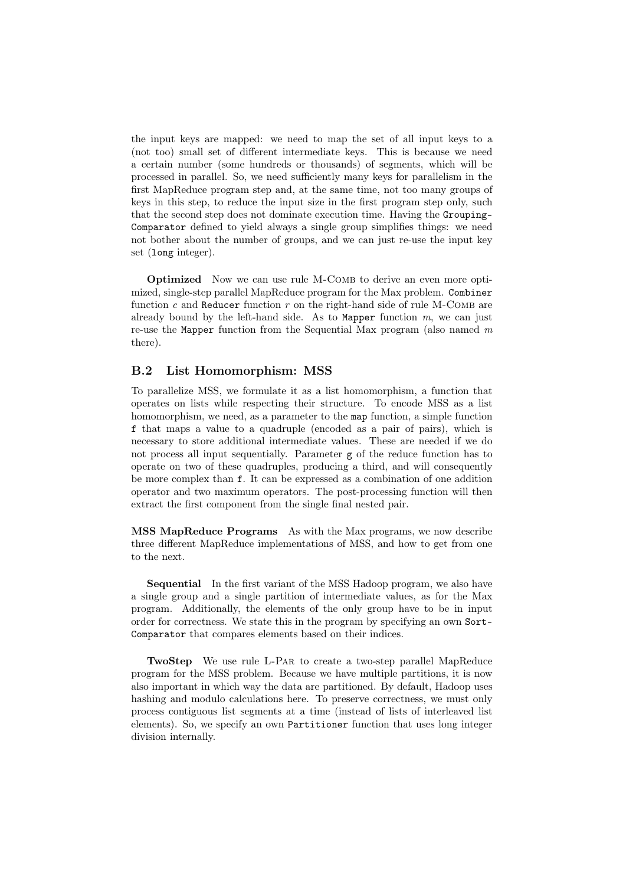the input keys are mapped: we need to map the set of all input keys to a (not too) small set of different intermediate keys. This is because we need a certain number (some hundreds or thousands) of segments, which will be processed in parallel. So, we need sufficiently many keys for parallelism in the first MapReduce program step and, at the same time, not too many groups of keys in this step, to reduce the input size in the first program step only, such that the second step does not dominate execution time. Having the Grouping-Comparator defined to yield always a single group simplifies things: we need not bother about the number of groups, and we can just re-use the input key set (long integer).

**Optimized** Now we can use rule M-COMB to derive an even more optimized, single-step parallel MapReduce program for the Max problem. Combiner function  $c$  and Reducer function  $r$  on the right-hand side of rule M-COMB are already bound by the left-hand side. As to Mapper function  $m$ , we can just re-use the Mapper function from the Sequential Max program (also named  $m$ there).

# B.2 List Homomorphism: MSS

To parallelize MSS, we formulate it as a list homomorphism, a function that operates on lists while respecting their structure. To encode MSS as a list homomorphism, we need, as a parameter to the map function, a simple function f that maps a value to a quadruple (encoded as a pair of pairs), which is necessary to store additional intermediate values. These are needed if we do not process all input sequentially. Parameter g of the reduce function has to operate on two of these quadruples, producing a third, and will consequently be more complex than f. It can be expressed as a combination of one addition operator and two maximum operators. The post-processing function will then extract the first component from the single final nested pair.

MSS MapReduce Programs As with the Max programs, we now describe three different MapReduce implementations of MSS, and how to get from one to the next.

Sequential In the first variant of the MSS Hadoop program, we also have a single group and a single partition of intermediate values, as for the Max program. Additionally, the elements of the only group have to be in input order for correctness. We state this in the program by specifying an own Sort-Comparator that compares elements based on their indices.

TwoStep We use rule L-Par to create a two-step parallel MapReduce program for the MSS problem. Because we have multiple partitions, it is now also important in which way the data are partitioned. By default, Hadoop uses hashing and modulo calculations here. To preserve correctness, we must only process contiguous list segments at a time (instead of lists of interleaved list elements). So, we specify an own Partitioner function that uses long integer division internally.